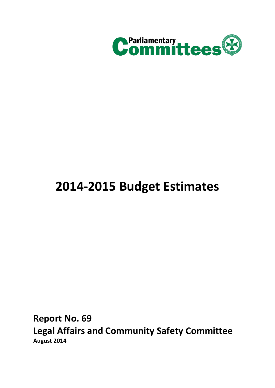

# **2014-2015 Budget Estimates**

<span id="page-0-0"></span>**Report No. 69 Legal Affairs and Community Safety Committee August 2014**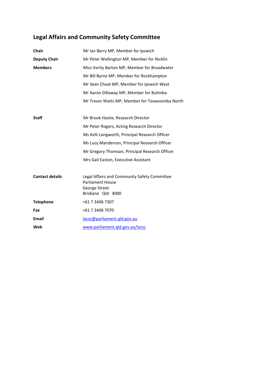## **[Legal Affairs and Community Safety Committee](#page-0-0)**

| Chair                  | Mr Ian Berry MP, Member for Ipswich                                     |
|------------------------|-------------------------------------------------------------------------|
| <b>Deputy Chair</b>    | Mr Peter Wellington MP, Member for Nicklin                              |
| <b>Members</b>         | Miss Verity Barton MP, Member for Broadwater                            |
|                        | Mr Bill Byrne MP, Member for Rockhampton                                |
|                        | Mr Sean Choat MP, Member for Ipswich West                               |
|                        | Mr Aaron Dillaway MP, Member for Bulimba                                |
|                        | Mr Trevor Watts MP, Member for Toowoomba North                          |
|                        |                                                                         |
| <b>Staff</b>           | Mr Brook Hastie, Research Director                                      |
|                        | Mr Peter Rogers, Acting Research Director                               |
|                        | Ms Kelli Longworth, Principal Research Officer                          |
|                        | Ms Lucy Manderson, Principal Research Officer                           |
|                        | Mr Gregory Thomson, Principal Research Officer                          |
|                        | Mrs Gail Easton, Executive Assistant                                    |
|                        |                                                                         |
| <b>Contact details</b> | Legal Affairs and Community Safety Committee<br><b>Parliament House</b> |
|                        | George Street                                                           |
|                        | Brisbane Qld 4000                                                       |
| <b>Telephone</b>       | +61 7 3406 7307                                                         |
| Fax                    | +61 7 3406 7070                                                         |
| <b>Email</b>           | lacsc@parliament.gld.gov.au                                             |
| Web                    | www.parliament.gld.gov.au/lacsc                                         |
|                        |                                                                         |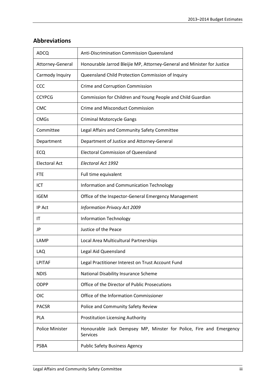| <b>ADCQ</b>          | Anti-Discrimination Commission Queensland                                             |
|----------------------|---------------------------------------------------------------------------------------|
| Attorney-General     | Honourable Jarrod Bleijie MP, Attorney-General and Minister for Justice               |
| Carmody Inquiry      | Queensland Child Protection Commission of Inquiry                                     |
| CCC                  | Crime and Corruption Commission                                                       |
| <b>CCYPCG</b>        | Commission for Children and Young People and Child Guardian                           |
| <b>CMC</b>           | <b>Crime and Misconduct Commission</b>                                                |
| <b>CMGs</b>          | <b>Criminal Motorcycle Gangs</b>                                                      |
| Committee            | Legal Affairs and Community Safety Committee                                          |
| Department           | Department of Justice and Attorney-General                                            |
| ECQ                  | <b>Electoral Commission of Queensland</b>                                             |
| <b>Electoral Act</b> | Electoral Act 1992                                                                    |
| <b>FTE</b>           | Full time equivalent                                                                  |
| ICT                  | Information and Communication Technology                                              |
| <b>IGEM</b>          | Office of the Inspector-General Emergency Management                                  |
| IP Act               | <b>Information Privacy Act 2009</b>                                                   |
| ΙT                   | <b>Information Technology</b>                                                         |
| JP                   | Justice of the Peace                                                                  |
| LAMP                 | Local Area Multicultural Partnerships                                                 |
| LAQ                  | Legal Aid Queensland                                                                  |
| LPITAF               | Legal Practitioner Interest on Trust Account Fund                                     |
| <b>NDIS</b>          | National Disability Insurance Scheme                                                  |
| ODPP                 | Office of the Director of Public Prosecutions                                         |
| <b>OIC</b>           | Office of the Information Commissioner                                                |
| <b>PACSR</b>         | Police and Community Safety Review                                                    |
| PLA                  | Prostitution Licensing Authority                                                      |
| Police Minister      | Honourable Jack Dempsey MP, Minster for Police, Fire and Emergency<br><b>Services</b> |
| <b>PSBA</b>          | <b>Public Safety Business Agency</b>                                                  |
|                      |                                                                                       |

## **Abbreviations**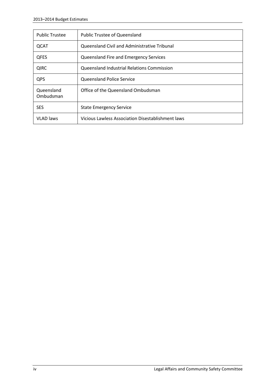| <b>Public Trustee</b>   | <b>Public Trustee of Queensland</b>               |
|-------------------------|---------------------------------------------------|
| QCAT                    | Queensland Civil and Administrative Tribunal      |
| <b>QFES</b>             | Queensland Fire and Emergency Services            |
| <b>QIRC</b>             | Queensland Industrial Relations Commission        |
| QPS                     | <b>Queensland Police Service</b>                  |
| Queensland<br>Ombudsman | Office of the Queensland Ombudsman                |
| <b>SES</b>              | <b>State Emergency Service</b>                    |
| <b>VLAD</b> laws        | Vicious Lawless Association Disestablishment laws |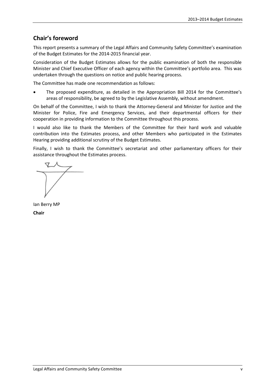## **Chair's foreword**

This report presents a summary of the Legal Affairs and Community Safety Committee's examination of the Budget Estimates for the 2014-2015 financial year.

Consideration of the Budget Estimates allows for the public examination of both the responsible Minister and Chief Executive Officer of each agency within the Committee's portfolio area. This was undertaken through the questions on notice and public hearing process.

The Committee has made one recommendation as follows:

• The proposed expenditure, as detailed in the Appropriation Bill 2014 for the Committee's areas of responsibility, be agreed to by the Legislative Assembly, without amendment.

On behalf of the Committee, I wish to thank the Attorney-General and Minister for Justice and the Minister for Police, Fire and Emergency Services, and their departmental officers for their cooperation in providing information to the Committee throughout this process.

I would also like to thank the Members of the Committee for their hard work and valuable contribution into the Estimates process, and other Members who participated in the Estimates Hearing providing additional scrutiny of the Budget Estimates.

Finally, I wish to thank the Committee's secretariat and other parliamentary officers for their assistance throughout the Estimates process.

Ian Berry MP **Chair**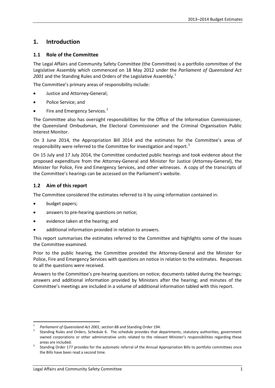## **1. Introduction**

#### **1.1 Role of the Committee**

The Legal Affairs and Community Safety Committee (the Committee) is a portfolio committee of the Legislative Assembly which commenced on 18 May 2012 under the *Parliament of Queensland Act*  200[1](#page-6-0) and the Standing Rules and Orders of the Legislative Assembly.<sup>1</sup>

The Committee's primary areas of responsibility include:

- Justice and Attorney-General;
- Police Service; and
- Fire and Emergency Services.<sup>[2](#page-6-1)</sup>

The Committee also has oversight responsibilities for the Office of the Information Commissioner, the Queensland Ombudsman, the Electoral Commissioner and the Criminal Organisation Public Interest Monitor.

On 3 June 2014, the Appropriation Bill 2014 and the estimates for the Committee's areas of responsibility were referred to the Committee for investigation and report.<sup>[3](#page-6-2)</sup>

On 15 July and 17 July 2014, the Committee conducted public hearings and took evidence about the proposed expenditure from the Attorney-General and Minister for Justice (Attorney-General), the Minister for Police, Fire and Emergency Services, and other witnesses. A copy of the transcripts of the Committee's hearings can be accessed on the Parliament's website.

#### **1.2 Aim of this report**

The Committee considered the estimates referred to it by using information contained in:

- budget papers;
- answers to pre-hearing questions on notice;
- evidence taken at the hearing; and
- additional information provided in relation to answers.

This report summarises the estimates referred to the Committee and highlights some of the issues the Committee examined.

Prior to the public hearing, the Committee provided the Attorney-General and the Minister for Police, Fire and Emergency Services with questions on notice in relation to the estimates. Responses to all the questions were received.

Answers to the Committee's pre-hearing questions on notice; documents tabled during the hearings; answers and additional information provided by Ministers after the hearing; and minutes of the Committee's meetings are included in a volume of additional information tabled with this report.

<span id="page-6-1"></span><span id="page-6-0"></span><sup>&</sup>lt;sup>1</sup> *Parliament of Queensland Act 2001*, section 88 and Standing Order 194.<br><sup>2</sup> Standing Rules and Orders, Schedule 6. The schedule provides that departments, statutory authorities, government owned corporations or other administrative units related to the relevant Minister's responsibilities regarding these

<span id="page-6-2"></span>areas are included.<br>Standing Order 177 provides for the automatic referral of the Annual Appropriation Bills to portfolio committees once the Bills have been read a second time.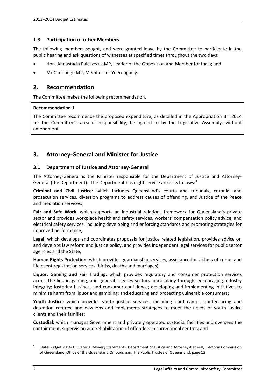#### **1.3 Participation of other Members**

The following members sought, and were granted leave by the Committee to participate in the public hearing and ask questions of witnesses at specified times throughout the two days:

- Hon. Annastacia Palaszczuk MP, Leader of the Opposition and Member for Inala; and
- Mr Carl Judge MP, Member for Yeerongpilly.

#### **2. Recommendation**

The Committee makes the following recommendation.

#### **Recommendation 1**

The Committee recommends the proposed expenditure, as detailed in the Appropriation Bill 2014 for the Committee's area of responsibility, be agreed to by the Legislative Assembly, without amendment.

## **3. Attorney-General and Minister for Justice**

#### **3.1 Department of Justice and Attorney-General**

The Attorney-General is the Minister responsible for the Department of Justice and Attorney-General (the Department). The Department has eight service areas as follows:<sup>[4](#page-7-0)</sup>

**Criminal and Civil Justice**: which includes Queensland's courts and tribunals, coronial and prosecution services, diversion programs to address causes of offending, and Justice of the Peace and mediation services;

**Fair and Safe Work**: which supports an industrial relations framework for Queensland's private sector and provides workplace health and safety services, workers' compensation policy advice, and electrical safety services; including developing and enforcing standards and promoting strategies for improved performance;

**Legal**: which develops and coordinates proposals for justice related legislation, provides advice on and develops law reform and justice policy, and provides independent legal services for public sector agencies and the State;

**Human Rights Protection**: which provides guardianship services, assistance for victims of crime, and life event registration services (births, deaths and marriages);

**Liquor, Gaming and Fair Trading**: which provides regulatory and consumer protection services across the liquor, gaming, and general services sectors, particularly through: encouraging industry integrity; fostering business and consumer confidence; developing and implementing initiatives to minimise harm from liquor and gambling; and educating and protecting vulnerable consumers;

**Youth Justice**: which provides youth justice services, including boot camps, conferencing and detention centres; and develops and implements strategies to meet the needs of youth justice clients and their families;

**Custodial:** which manages Government and privately operated custodial facilities and oversees the containment, supervision and rehabilitation of offenders in correctional centres; and

<span id="page-7-0"></span><sup>&</sup>lt;sup>4</sup> State Budget 2014-15, Service Delivery Statements, Department of Justice and Attorney-General, Electoral Commission of Queensland, Office of the Queensland Ombudsman, The Public Trustee of Queensland, page 13.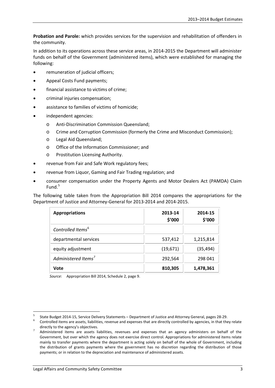**Probation and Parole:** which provides services for the supervision and rehabilitation of offenders in the community.

In addition to its operations across these service areas, in 2014-2015 the Department will administer funds on behalf of the Government (administered items), which were established for managing the following:

- remuneration of judicial officers;
- Appeal Costs Fund payments;
- financial assistance to victims of crime;
- criminal injuries compensation;
- assistance to families of victims of homicide;
- independent agencies:
	- o Anti-Discrimination Commission Queensland;
	- o Crime and Corruption Commission (formerly the Crime and Misconduct Commission);
	- o Legal Aid Queensland;
	- o Office of the Information Commissioner; and
	- o Prostitution Licensing Authority.
- revenue from Fair and Safe Work regulatory fees;
- revenue from Liquor, Gaming and Fair Trading regulation; and
- consumer compensation under the Property Agents and Motor Dealers Act (PAMDA) Claim Fund.<sup>[5](#page-8-0)</sup>

The following table taken from the Appropriation Bill 2014 compares the appropriations for the Department of Justice and Attorney-General for 2013-2014 and 2014-2015.

| <b>Appropriations</b>           | 2013-14<br>\$'000 | 2014-15<br>\$'000 |
|---------------------------------|-------------------|-------------------|
| Controlled Items <sup>6</sup>   |                   |                   |
| departmental services           | 537,412           | 1,215,814         |
| equity adjustment               | (19, 671)         | (35, 494)         |
| Administered Items <sup>7</sup> | 292,564           | 298 041           |
| Vote                            | 810,305           | 1,478,361         |

*Source*: Appropriation Bill 2014, Schedule 2, page 9.

<span id="page-8-1"></span><span id="page-8-0"></span><sup>&</sup>lt;sup>5</sup> State Budget 2014-15, Service Delivery Statements – Department of Justice and Attorney General, pages 28-29.<br><sup>6</sup> Controlled items are assets, liabilities, revenue and expenses that are directly controlled by agencies,

directly to the agency's objectives.<br>Administered items are assets liabilities, revenues and expenses that an agency administers on behalf of the

<span id="page-8-2"></span>Government, but over which the agency does not exercise direct control. Appropriations for administered items relate mainly to transfer payments where the department is acting solely on behalf of the whole of Government, including the distribution of grants payments where the government has no discretion regarding the distribution of those payments; or in relation to the depreciation and maintenance of administered assets.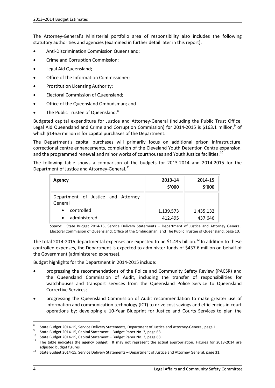The Attorney-General's Ministerial portfolio area of responsibility also includes the following statutory authorities and agencies (examined in further detail later in this report):

- Anti-Discrimination Commission Queensland;
- Crime and Corruption Commission;
- Legal Aid Queensland;
- Office of the Information Commissioner;
- Prostitution Licensing Authority;
- Electoral Commission of Queensland;
- Office of the Queensland Ombudsman; and
- The Public Trustee of Queensland.<sup>[8](#page-9-0)</sup>

Budgeted capital expenditure for Justice and Attorney-General (including the Public Trust Office, Legal Aid Queensland and Crime and Corruption Commission) for 2014-2015 is \$163.1 million,<sup>[9](#page-9-1)</sup> of which \$146.6 million is for capital purchases of the Department.

The Department's capital purchases will primarily focus on additional prison infrastructure, correctional centre enhancements, completion of the Cleveland Youth Detention Centre expansion, and the programmed renewal and minor works of courthouses and Youth Justice facilities.<sup>[10](#page-9-2)</sup>

The following table shows a comparison of the budgets for 2013-2014 and 2014-2015 for the Department of Justice and Attorney-General.<sup>[11](#page-9-3)</sup>

| <b>Agency</b>                                  | 2013-14<br>\$'000 | 2014-15<br>\$'000 |
|------------------------------------------------|-------------------|-------------------|
| Department of Justice and Attorney-<br>General |                   |                   |
| controlled<br>$\bullet$                        | 1,139,573         | 1,435,132         |
| administered<br>$\bullet$                      | 412,495           | 437,646           |

*Source*: State Budget 2014-15, Service Delivery Statements – Department of Justice and Attorney General; Electoral Commission of Queensland; Office of the Ombudsman; and The Public Trustee of Queensland, page 10.

The total 2014-2015 departmental expenses are expected to be \$1.435 billion.<sup>[12](#page-9-4)</sup> In addition to these controlled expenses, the Department is expected to administer funds of \$437.6 million on behalf of the Government (administered expenses).

Budget highlights for the Department in 2014-2015 include:

- progressing the recommendations of the Police and Community Safety Review (PACSR) and the Queensland Commission of Audit, including the transfer of responsibilities for watchhouses and transport services from the Queensland Police Service to Queensland Corrective Services;
- progressing the Queensland Commission of Audit recommendation to make greater use of information and communication technology (ICT) to drive cost savings and efficiencies in court operations by: developing a 10-Year Blueprint for Justice and Courts Services to plan the

<span id="page-9-1"></span>

<span id="page-9-2"></span>

<span id="page-9-0"></span><sup>&</sup>lt;sup>8</sup> State Budget 2014-15, Service Delivery Statements, Department of Justice and Attorney-General, page 1.<br><sup>9</sup> State Budget 2014-15, Capital Statement – Budget Paper No. 3, page 68.<br><sup>10</sup> State Budget 2014-15, Capital Stat

<span id="page-9-4"></span><span id="page-9-3"></span>adjusted budget figures.<br><sup>12</sup> State Budget 2014-15, Service Delivery Statements – Department of Justice and Attorney General, page 31.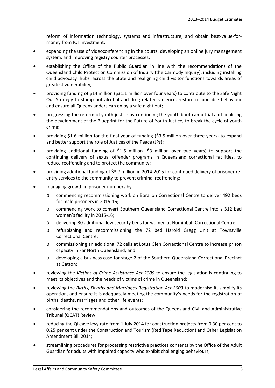reform of information technology, systems and infrastructure, and obtain best-value-formoney from ICT investment;

- expanding the use of videoconferencing in the courts, developing an online jury management system, and improving registry counter processes;
- establishing the Office of the Public Guardian in line with the recommendations of the Queensland Child Protection Commission of Inquiry (the Carmody Inquiry), including installing child advocacy 'hubs' across the State and realigning child visitor functions towards areas of greatest vulnerability;
- providing funding of \$14 million (\$31.1 million over four years) to contribute to the Safe Night Out Strategy to stamp out alcohol and drug related violence, restore responsible behaviour and ensure all Queenslanders can enjoy a safe night out;
- progressing the reform of youth justice by continuing the youth boot camp trial and finalising the development of the Blueprint for the Future of Youth Justice, to break the cycle of youth crime;
- providing \$1.6 million for the final year of funding (\$3.5 million over three years) to expand and better support the role of Justices of the Peace (JPs);
- providing additional funding of \$1.5 million (\$3 million over two years) to support the continuing delivery of sexual offender programs in Queensland correctional facilities, to reduce reoffending and to protect the community;
- providing additional funding of \$3.7 million in 2014-2015 for continued delivery of prisoner reentry services to the community to prevent criminal reoffending;
- managing growth in prisoner numbers by:
	- o commencing recommissioning work on Borallon Correctional Centre to deliver 492 beds for male prisoners in 2015-16;
	- o commencing work to convert Southern Queensland Correctional Centre into a 312 bed women's facility in 2015-16;
	- o delivering 30 additional low security beds for women at Numinbah Correctional Centre;
	- o refurbishing and recommissioning the 72 bed Harold Gregg Unit at Townsville Correctional Centre;
	- o commissioning an additional 72 cells at Lotus Glen Correctional Centre to increase prison capacity in Far North Queensland; and
	- o developing a business case for stage 2 of the Southern Queensland Correctional Precinct at Gatton;
- reviewing the *Victims of Crime Assistance Act 2009* to ensure the legislation is continuing to meet its objectives and the needs of victims of crime in Queensland;
- reviewing the *Births, Deaths and Marriages Registration Act 2003* to modernise it, simplify its operation, and ensure it is adequately meeting the community's needs for the registration of births, deaths, marriages and other life events;
- considering the recommendations and outcomes of the Queensland Civil and Administrative Tribunal (QCAT) Review;
- reducing the QLeave levy rate from 1 July 2014 for construction projects from 0.30 per cent to 0.25 per cent under the Construction and Tourism (Red Tape Reduction) and Other Legislation Amendment Bill 2014;
- streamlining procedures for processing restrictive practices consents by the Office of the Adult Guardian for adults with impaired capacity who exhibit challenging behaviours;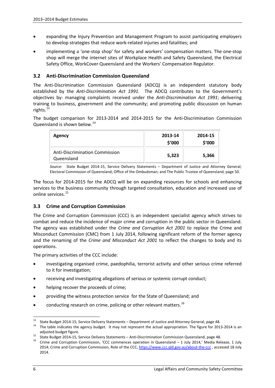- expanding the Injury Prevention and Management Program to assist participating employers to develop strategies that reduce work-related injuries and fatalities; and
- implementing a 'one-stop shop' for safety and workers' compensation matters. The one-stop shop will merge the internet sites of Workplace Health and Safety Queensland, the Electrical Safety Office, WorkCover Queensland and the Workers' Compensation Regulator.

#### **3.2 Anti-Discrimination Commission Queensland**

The Anti-Discrimination Commission Queensland (ADCQ) is an independent statutory body established by the *Anti-Discrimination Act 1991*. The ADCQ contributes to the Government's objectives by: managing complaints received under the *Anti-Discrimination Act 1991*; delivering training to business, government and the community; and promoting public discussion on human rights.<sup>[13](#page-11-0)</sup>

The budget comparison for 2013-2014 and 2014-2015 for the Anti-Discrimination Commission Queensland is shown below.[14](#page-11-1)

| Agency                                              | 2013-14<br>\$'000 | 2014-15<br>\$'000 |
|-----------------------------------------------------|-------------------|-------------------|
| <b>Anti-Discrimination Commission</b><br>Queensland | 5,323             | 5,366             |

*Source*: State Budget 2014-15, Service Delivery Statements – Department of Justice and Attorney General; Electoral Commission of Queensland; Office of the Ombudsman; and The Public Trustee of Queensland, page 50.

The focus for 2014-2015 for the ADCQ will be on expanding resources for schools and enhancing services to the business community through targeted consultation, education and increased use of online services.<sup>[15](#page-11-2)</sup>

#### **3.3 Crime and Corruption Commission**

The Crime and Corruption Commission (CCC) is an independent specialist agency which strives to combat and reduce the incidence of major crime and corruption in the public sector in Queensland. The agency was established under the *Crime and Corruption Act 2001* to replace the Crime and Misconduct Commission (CMC) from 1 July 2014, following significant reform of the former agency and the renaming of the *Crime and Misconduct Act 2001* to reflect the changes to body and its operations.

The primary activities of the CCC include:

- investigating organised crime, paedophilia, terrorist activity and other serious crime referred to it for investigation;
- receiving and investigating allegations of serious or systemic corrupt conduct;
- helping recover the proceeds of crime;
- providing the witness protection service for the State of Queensland; and
- conducting research on crime, policing or other relevant matters.<sup>[16](#page-11-3)</sup>

<span id="page-11-0"></span><sup>&</sup>lt;sup>13</sup> State Budget 2014-15, Service Delivery Statements – Department of Justice and Attorney General, page 48.<br><sup>14</sup> The table indicates the agency budget. It may not represent the actual appropriation. The figure for 2013-

<span id="page-11-3"></span>

<span id="page-11-2"></span><span id="page-11-1"></span>adjusted budget figure.<br><sup>15</sup> State Budget 2014-15, Service Delivery Statements – Anti-Discrimination Commission Queensland, page 48.<br><sup>16</sup> Crime and Corruption Commission, 'CCC commences operation in Queensland – 1 July 20 2014; Crime and Corruption Commission, Role of the CCC,<https://www.ccc.qld.gov.au/about-the-ccc>, accessed 18 July 2014.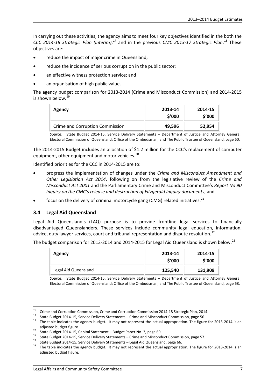In carrying out these activities, the agency aims to meet four key objectives identified in the both the *CCC 2014-18 Strategic Plan (interim)*, [17](#page-12-0) and in the previous *CMC 2013-17 Strategic Plan*. [18](#page-12-1) These objectives are:

- reduce the impact of major crime in Queensland;
- reduce the incidence of serious corruption in the public sector;
- an effective witness protection service; and
- an organisation of high public value.

The agency budget comparison for 2013-2014 (Crime and Misconduct Commission) and 2014-2015 is shown below.<sup>[19](#page-12-2)</sup>

| Agency                          | 2013-14<br>\$'000 | 2014-15<br>\$'000 |
|---------------------------------|-------------------|-------------------|
| Crime and Corruption Commission | 49,596            | 52,954            |

*Source*: State Budget 2014-15, Service Delivery Statements – Department of Justice and Attorney General; Electoral Commission of Queensland; Office of the Ombudsman; and The Public Trustee of Queensland, page 60.

The 2014-2015 Budget includes an allocation of \$1.2 million for the CCC's replacement of computer equipment, other equipment and motor vehicles.<sup>[20](#page-12-3)</sup>

Identified priorities for the CCC in 2014-2015 are to:

- progress the implementation of changes under the *Crime and Misconduct Amendment and Other Legislation Act 2014*, following on from the legislative review of the *Crime and Misconduct Act 2001* and the Parliamentary Crime and Misconduct Committee's *Report No 90 Inquiry on the CMC's release and destruction of Fitzgerald Inquiry documents*; and
- focus on the delivery of criminal motorcycle gang (CMG) related initiatives.<sup>[21](#page-12-4)</sup>

#### **3.4 Legal Aid Queensland**

Legal Aid Queensland's (LAQ) purpose is to provide frontline legal services to financially disadvantaged Queenslanders. These services include community legal education, information, advice, duty lawyer services, court and tribunal representation and dispute resolution.<sup>[22](#page-12-5)</sup>

The budget comparison for 2013-2014 and 2014-2015 for Legal Aid Queensland is shown below.<sup>[23](#page-12-6)</sup>

| <b>Agency</b>        | 2013-14<br>\$′000 | 2014-15<br>\$′000 |
|----------------------|-------------------|-------------------|
| Legal Aid Queensland | 125,540           | 131,909           |

*Source*: State Budget 2014-15, Service Delivery Statements – Department of Justice and Attorney General; Electoral Commission of Queensland; Office of the Ombudsman; and The Public Trustee of Queensland, page 68.

<span id="page-12-1"></span>

<span id="page-12-0"></span><sup>&</sup>lt;sup>17</sup> Crime and Corruption Commission, Crime and Corruption Commission 2014-18 Strategic Plan, 2014.<br><sup>18</sup> State Budget 2014-15, Service Delivery Statements – Crime and Misconduct Commission, page 56.<br><sup>19</sup> The table indicat

<span id="page-12-4"></span>

<span id="page-12-6"></span><span id="page-12-5"></span>

<span id="page-12-3"></span><span id="page-12-2"></span>adjusted budget figure.<br>
<sup>20</sup> State Budget 2014-15, Capital Statement – Budget Paper No. 3, page 69.<br>
<sup>21</sup> State Budget 2014-15, Service Delivery Statements – Crime and Misconduct Commission, page 57.<br>
<sup>22</sup> State Budget 20 adjusted budget figure.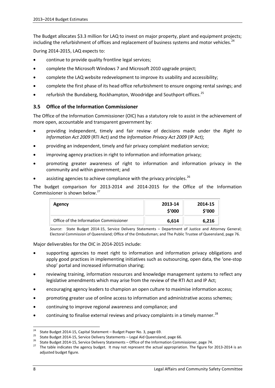The Budget allocates \$3.3 million for LAQ to invest on major property, plant and equipment projects; including the refurbishment of offices and replacement of business systems and motor vehicles.<sup>[24](#page-13-0)</sup>

During 2014-2015, LAQ expects to:

- continue to provide quality frontline legal services;
- complete the Microsoft Windows 7 and Microsoft 2010 upgrade project;
- complete the LAQ website redevelopment to improve its usability and accessibility;
- complete the first phase of its head office refurbishment to ensure ongoing rental savings; and
- refurbish the Bundaberg, Rockhampton, Woodridge and Southport offices.<sup>[25](#page-13-1)</sup>

#### **3.5 Office of the Information Commissioner**

The Office of the Information Commissioner (OIC) has a statutory role to assist in the achievement of more open, accountable and transparent government by:

- providing independent, timely and fair review of decisions made under the *Right to Information Act 2009* (RTI Act) and the *Information Privacy Act 2009* (IP Act);
- providing an independent, timely and fair privacy complaint mediation service;
- improving agency practices in right to information and information privacy;
- promoting greater awareness of right to information and information privacy in the community and within government; and
- assisting agencies to achieve compliance with the privacy principles. $^{26}$  $^{26}$  $^{26}$

The budget comparison for 2013-2014 and 2014-2015 for the Office of the Information Commissioner is shown below.[27](#page-13-3)

| Agency                                 | 2013-14<br>\$'000 | 2014-15<br>\$'000 |
|----------------------------------------|-------------------|-------------------|
| Office of the Information Commissioner | 6,614             | 6,216             |

*Source*: State Budget 2014-15, Service Delivery Statements – Department of Justice and Attorney General; Electoral Commission of Queensland; Office of the Ombudsman; and The Public Trustee of Queensland, page 76.

Major deliverables for the OIC in 2014-2015 include:

- supporting agencies to meet right to information and information privacy obligations and apply good practices in implementing initiatives such as outsourcing, open data, the 'one-stop shop' portal and increased information sharing;
- reviewing training, information resources and knowledge management systems to reflect any legislative amendments which may arise from the review of the RTI Act and IP Act;
- encouraging agency leaders to champion an open culture to maximise information access;
- promoting greater use of online access to information and administrative access schemes;
- continuing to improve regional awareness and compliance; and
- continuing to finalise external reviews and privacy complaints in a timely manner.<sup>[28](#page-13-4)</sup>

<span id="page-13-1"></span>

<span id="page-13-3"></span><span id="page-13-2"></span>

<span id="page-13-4"></span><span id="page-13-0"></span><sup>&</sup>lt;sup>24</sup> State Budget 2014-15, Capital Statement – Budget Paper No. 3, page 69.<br><sup>25</sup> State Budget 2014-15, Service Delivery Statements – Legal Aid Queensland, page 66.<br><sup>26</sup> State Budget 2014-15, Service Delivery Statements – adjusted budget figure.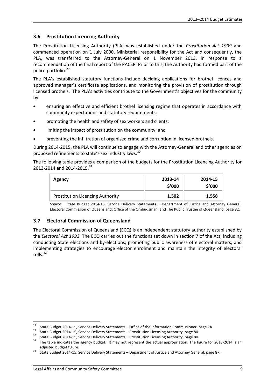#### **3.6 Prostitution Licencing Authority**

The Prostitution Licensing Authority (PLA) was established under the *Prostitution Act 1999* and commenced operation on 1 July 2000. Ministerial responsibility for the Act and consequently, the PLA, was transferred to the Attorney-General on 1 November 2013, in response to a recommendation of the final report of the PACSR. Prior to this, the Authority had formed part of the police portfolio.<sup>[29](#page-14-0)</sup>

The PLA's established statutory functions include deciding applications for brothel licences and approved manager's certificate applications, and monitoring the provision of prostitution through licensed brothels. The PLA's activities contribute to the Government's objectives for the community by:

- ensuring an effective and efficient brothel licensing regime that operates in accordance with community expectations and statutory requirements;
- promoting the health and safety of sex workers and clients;
- limiting the impact of prostitution on the community; and
- preventing the infiltration of organised crime and corruption in licensed brothels.

During 2014-2015, the PLA will continue to engage with the Attorney-General and other agencies on proposed refinements to state's sex industry laws.<sup>[30](#page-14-1)</sup>

The following table provides a comparison of the budgets for the Prostitution Licencing Authority for 2013-2014 and 2014-2015.<sup>[31](#page-14-2)</sup>

| <b>Agency</b>                           | 2013-14<br>\$'000 | 2014-15<br>\$'000 |
|-----------------------------------------|-------------------|-------------------|
| <b>Prostitution Licencing Authority</b> | 1,502             | 1,558             |

*Source*: State Budget 2014-15, Service Delivery Statements – Department of Justice and Attorney General; Electoral Commission of Queensland; Office of the Ombudsman; and The Public Trustee of Queensland, page 82.

#### **3.7 Electoral Commission of Queensland**

The Electoral Commission of Queensland (ECQ) is an independent statutory authority established by the *Electoral Act 1992*. The ECQ carries out the functions set down in section 7 of the Act, including conducting State elections and by-elections; promoting public awareness of electoral matters; and implementing strategies to encourage elector enrolment and maintain the integrity of electoral rolls. [32](#page-14-3)

<span id="page-14-0"></span>

<span id="page-14-1"></span>

<sup>&</sup>lt;sup>28</sup> State Budget 2014-15, Service Delivery Statements – Office of the Information Commissioner, page 74.<br>
<sup>29</sup> State Budget 2014-15, Service Delivery Statements – Prostitution Licensing Authority, page 80.<br>
<sup>30</sup> State Bu

<span id="page-14-3"></span><span id="page-14-2"></span>adjusted budget figure.<br>32 State Budget 2014-15, Service Delivery Statements – Department of Justice and Attorney General, page 87.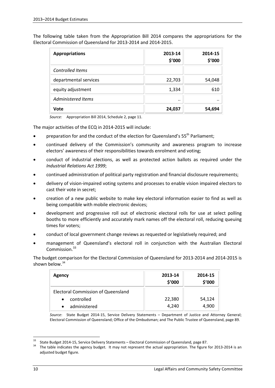The following table taken from the Appropriation Bill 2014 compares the appropriations for the Electoral Commission of Queensland for 2013-2014 and 2014-2015.

| <b>Appropriations</b> | 2013-14<br>\$'000 | 2014-15<br>\$'000 |
|-----------------------|-------------------|-------------------|
| Controlled Items      |                   |                   |
| departmental services | 22,703            | 54,048            |
| equity adjustment     | 1,334             | 610               |
| Administered Items    | $\cdot \cdot$     |                   |
| Vote                  | 24,037            | 54,694            |

*Source:* Appropriation Bill 2014, Schedule 2, page 11.

The major activities of the ECQ in 2014-2015 will include:

- preparation for and the conduct of the election for Queensland's 55<sup>th</sup> Parliament:
- continued delivery of the Commission's community and awareness program to increase electors' awareness of their responsibilities towards enrolment and voting;
- conduct of industrial elections, as well as protected action ballots as required under the *Industrial Relations Act 1999*;
- continued administration of political party registration and financial disclosure requirements;
- delivery of vision-impaired voting systems and processes to enable vision impaired electors to cast their vote in secret;
- creation of a new public website to make key electoral information easier to find as well as being compatible with mobile electronic devices;
- development and progressive roll out of electronic electoral rolls for use at select polling booths to more efficiently and accurately mark names off the electoral roll, reducing queuing times for voters;
- conduct of local government change reviews as requested or legislatively required; and
- management of Queensland's electoral roll in conjunction with the Australian Electoral Commission.<sup>[33](#page-15-0)</sup>

The budget comparison for the Electoral Commission of Queensland for 2013-2014 and 2014-2015 is shown below. $34$ 

| Agency                                    | 2013-14<br>\$'000 | 2014-15<br>\$'000 |
|-------------------------------------------|-------------------|-------------------|
| <b>Electoral Commission of Queensland</b> |                   |                   |
| controlled<br>$\bullet$                   | 22,380            | 54,124            |
| administered                              | 4,240             | 4,900             |

*Source*: State Budget 2014-15, Service Delivery Statements – Department of Justice and Attorney General; Electoral Commission of Queensland; Office of the Ombudsman; and The Public Trustee of Queensland, page 89.

<span id="page-15-1"></span><span id="page-15-0"></span><sup>&</sup>lt;sup>33</sup> State Budget 2014-15, Service Delivery Statements – Electoral Commission of Queensland, page 87.<br><sup>34</sup> The table indicates the agency budget. It may not represent the actual appropriation. The figure for 2013-2014 is adjusted budget figure.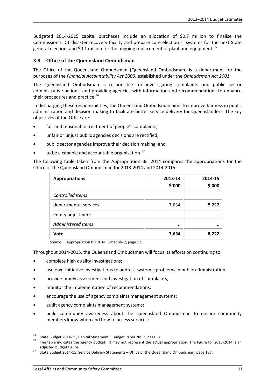Budgeted 2014-2015 capital purchases include an allocation of \$0.7 million to finalise the Commission's ICT disaster recovery facility and prepare core election IT systems for the next State general election; and \$0.1 million for the ongoing replacement of plant and equipment.<sup>[35](#page-16-0)</sup>

#### **3.8 Office of the Queensland Ombudsman**

The Office of the Queensland Ombudsman (Queensland Ombudsman) is a department for the purposes of the *Financial Accountability Act 2009*, established under the *Ombudsman Act 2001.*

The Queensland Ombudsman is responsible for investigating complaints and public sector administrative actions, and providing agencies with information and recommendations to enhance their procedures and practice.<sup>[36](#page-16-1)</sup>

In discharging these responsibilities, the Queensland Ombudsman aims to improve fairness in public administration and decision making to facilitate better service delivery for Queenslanders. The key objectives of the Office are:

- fair and reasonable treatment of people's complaints;
- unfair or unjust public agencies decisions are rectified;
- public sector agencies improve their decision making; and
- to be a capable and accountable organisation. $37$

The following table taken from the Appropriation Bill 2014 compares the appropriations for the Office of the Queensland Ombudsman for 2013-2014 and 2014-2015.

| <b>Appropriations</b>   | 2013-14<br>\$'000 | 2014-15<br>\$'000 |
|-------------------------|-------------------|-------------------|
| <b>Controlled Items</b> |                   |                   |
| departmental services   | 7,634             | 8,222             |
| equity adjustment       |                   |                   |
| Administered Items      | $\cdot \cdot$     |                   |
| Vote                    | 7,634             | 8,222             |

*Source:* Appropriation Bill 2014, Schedule 2, page 12.

Throughout 2014-2015, the Queensland Ombudsman will focus its efforts on continuing to:

- complete high quality investigations;
- use own-initiative investigations to address systemic problems in public administration;
- provide timely assessment and investigation of complaints;
- monitor the implementation of recommendations;
- encourage the use of agency complaints management systems;
- audit agency complaints management systems;
- build community awareness about the Queensland Ombudsman to ensure community members know when and how to access services;

<span id="page-16-1"></span><span id="page-16-0"></span><sup>&</sup>lt;sup>35</sup> State Budget 2014-15, Capital Statement – Budget Paper No. 3, page 34.<br><sup>36</sup> The table indicates the agency budget. It may not represent the actual appropriation. The figure for 2013-2014 is an adjusted budget figure.<br><sup>37</sup> State Budget 2014-15, Service Delivery Statements – Office of the Queensland Ombudsman, page 107.

<span id="page-16-2"></span>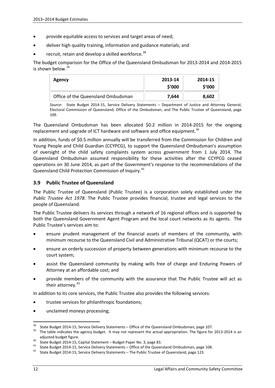- provide equitable access to services and target areas of need;
- deliver high quality training, information and guidance materials; and
- recruit, retain and develop a skilled workforce.<sup>[38](#page-17-0)</sup>

The budget comparison for the Office of the Queensland Ombudsman for 2013-2014 and 2014-2015 is shown below. $39$ 

| Agency                             | 2013-14<br>\$′000 | 2014-15<br>\$'000 |
|------------------------------------|-------------------|-------------------|
| Office of the Queensland Ombudsman | 7.644             | 8,602             |

*Source*: State Budget 2014-15, Service Delivery Statements – Department of Justice and Attorney General; Electoral Commission of Queensland; Office of the Ombudsman; and The Public Trustee of Queensland, page 109.

The Queensland Ombudsman has been allocated \$0.2 million in 2014-2015 for the ongoing replacement and upgrade of ICT hardware and software and office equipment.<sup>[40](#page-17-2)</sup>

In addition, funds of \$0.5 million annually will be transferred from the Commission for Children and Young People and Child Guardian (CCYPCG), to support the Queensland Ombudsman's assumption of oversight of the child safety complaints system across government from 1 July 2014. The Queensland Ombudsman assumed responsibility for these activities after the CCYPCG ceased operations on 30 June 2014, as part of the Government's response to the recommendations of the Queensland Child Protection Commission of Inquiry.<sup>[41](#page-17-3)</sup>

#### **3.9 Public Trustee of Queensland**

The Public Trustee of Queensland (Public Trustee) is a corporation solely established under the *Public Trustee Act 1978*. The Public Trustee provides financial, trustee and legal services to the people of Queensland.

The Public Trustee delivers its services through a network of 16 regional offices and is supported by both the Queensland Government Agent Program and the local court networks as its agents. The Public Trustee's services aim to:

- ensure prudent management of the financial assets of members of the community, with minimum recourse to the Queensland Civil and Administrative Tribunal (QCAT) or the courts;
- ensure an orderly succession of property between generations with minimum recourse to the court system;
- assist the Queensland community by making wills free of charge and Enduring Powers of Attorney at an affordable cost; and
- provide members of the community with the assurance that The Public Trustee will act as their attorney.<sup>[42](#page-17-4)</sup>

In addition to its core services, the Public Trustee also provides the following services:

- trustee services for philanthropic foundations;
- unclaimed moneys processing;

<span id="page-17-0"></span><sup>&</sup>lt;sup>38</sup> State Budget 2014-15, Service Delivery Statements – Office of the Queensland Ombudsman, page 107.<br><sup>39</sup> The table indicates the agency budget. It may not represent the actual appropriation. The figure for 2013-2014 is

<span id="page-17-2"></span><span id="page-17-1"></span>adjusted budget figure.<br>
40 State Budget 2014-15, Capital Statement – Budget Paper No. 3, page 83.<br>
41 State Budget 2014-15, Service Delivery Statements – Office of the Queensland Ombudsman, page 108.<br>
42 State Budget 2014

<span id="page-17-4"></span><span id="page-17-3"></span>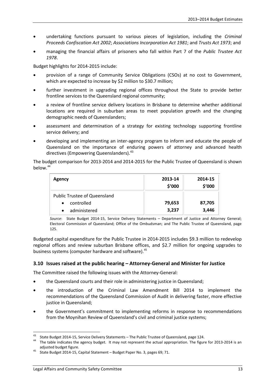- undertaking functions pursuant to various pieces of legislation, including the *Criminal Proceeds Confiscation Act 2002*; *Associations Incorporation Act 1981*; and *Trusts Act 1973*; and
- managing the financial affairs of prisoners who fall within Part 7 of the *Public Trustee Act 1978*.

Budget highlights for 2014-2015 include:

- provision of a range of Community Service Obligations (CSOs) at no cost to Government, which are expected to increase by \$2 million to \$30.7 million;
- further investment in upgrading regional offices throughout the State to provide better frontline services to the Queensland regional community;
- a review of frontline service delivery locations in Brisbane to determine whether additional locations are required in suburban areas to meet population growth and the changing demographic needs of Queenslanders;
- assessment and determination of a strategy for existing technology supporting frontline service delivery; and
- developing and implementing an inter-agency program to inform and educate the people of Queensland on the importance of enduring powers of attorney and advanced health directives (Empowering Queenslanders).<sup>[43](#page-18-0)</sup>

The budget comparison for 2013-2014 and 2014-2015 for the Public Trustee of Queensland is shown below.<sup>[44](#page-18-1)</sup>

| <b>Agency</b>                       | 2013-14<br>\$'000 | 2014-15<br>\$'000 |
|-------------------------------------|-------------------|-------------------|
| <b>Public Trustee of Queensland</b> |                   |                   |
| controlled<br>$\bullet$             | 79,653            | 87,705            |
| administered<br>$\bullet$           | 3,237             | 3,446             |

*Source*: State Budget 2014-15, Service Delivery Statements – Department of Justice and Attorney General; Electoral Commission of Queensland; Office of the Ombudsman; and The Public Trustee of Queensland, page 125.

Budgeted capital expenditure for the Public Trustee in 2014-2015 includes \$9.3 million to redevelop regional offices and review suburban Brisbane offices, and \$2.7 million for ongoing upgrades to business systems (computer hardware and software).<sup>[45](#page-18-2)</sup>

#### **3.10 Issues raised at the public hearing – Attorney-General and Minister for Justice**

The Committee raised the following issues with the Attorney-General:

- the Queensland courts and their role in administering justice in Queensland:
- the introduction of the Criminal Law Amendment Bill 2014 to implement the recommendations of the Queensland Commission of Audit in delivering faster, more effective justice in Queensland:
- the Government's commitment to implementing reforms in response to recommendations from the Moynihan Review of Queensland's civil and criminal justice systems;

<span id="page-18-1"></span><span id="page-18-0"></span><sup>&</sup>lt;sup>43</sup> State Budget 2014-15, Service Delivery Statements – The Public Trustee of Queensland, page 124.<br><sup>44</sup> The table indicates the agency budget. It may not represent the actual appropriation. The figure for 2013-2014 is a adjusted budget figure.<br><sup>45</sup> State Budget 2014-15, Capital Statement – Budget Paper No. 3, pages 69; 71.

<span id="page-18-2"></span>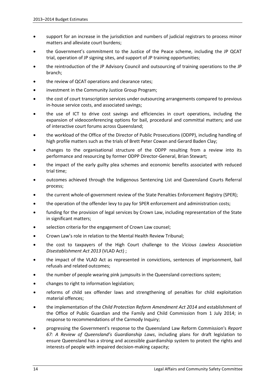- support for an increase in the jurisdiction and numbers of judicial registrars to process minor matters and alleviate court burdens;
- the Government's commitment to the Justice of the Peace scheme, including the JP QCAT trial, operation of JP signing sites, and support of JP training opportunities;
- the reintroduction of the JP Advisory Council and outsourcing of training operations to the JP branch;
- the review of QCAT operations and clearance rates;
- investment in the Community Justice Group Program;
- the cost of court transcription services under outsourcing arrangements compared to previous in-house service costs, and associated savings;
- the use of ICT to drive cost savings and efficiencies in court operations, including the expansion of videoconferencing options for bail, procedural and committal matters; and use of interactive court forums across Queensland;
- the workload of the Office of the Director of Public Prosecutions (ODPP), including handling of high profile matters such as the trials of Brett Peter Cowan and Gerard Baden Clay;
- changes to the organisational structure of the ODPP resulting from a review into its performance and resourcing by former ODPP Director-General, Brian Stewart;
- the impact of the early guilty plea schemes and economic benefits associated with reduced trial time;
- outcomes achieved through the Indigenous Sentencing List and Queensland Courts Referral process;
- the current whole-of-government review of the State Penalties Enforcement Registry (SPER);
- the operation of the offender levy to pay for SPER enforcement and administration costs;
- funding for the provision of legal services by Crown Law, including representation of the State in significant matters;
- selection criteria for the engagement of Crown Law counsel;
- Crown Law's role in relation to the Mental Health Review Tribunal;
- the cost to taxpayers of the High Court challenge to the *Vicious Lawless Association Disestablishment Act 2013* (VLAD Act) ;
- the impact of the VLAD Act as represented in convictions, sentences of imprisonment, bail refusals and related outcomes;
- the number of people wearing pink jumpsuits in the Queensland corrections system;
- changes to right to information legislation;
- reforms of child sex offender laws and strengthening of penalties for child exploitation material offences;
- the implementation of the *Child Protection Reform Amendment Act 2014* and establishment of the Office of Public Guardian and the Family and Child Commission from 1 July 2014; in response to recommendations of the Carmody Inquiry;
- progressing the Government's response to the Queensland Law Reform Commission's *Report 67: A Review of Queensland's Guardianship Laws*, including plans for draft legislation to ensure Queensland has a strong and accessible guardianship system to protect the rights and interests of people with impaired decision-making capacity;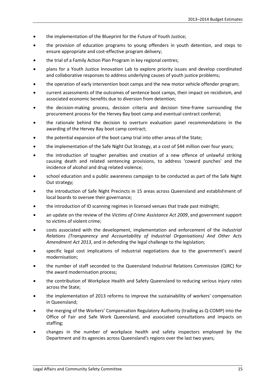- the implementation of the Blueprint for the Future of Youth Justice;
- the provision of education programs to young offenders in youth detention, and steps to ensure appropriate and cost-effective program delivery;
- the trial of a Family Action Plan Program in key regional centres;
- plans for a Youth Justice Innovation Lab to explore priority issues and develop coordinated and collaborative responses to address underlying causes of youth justice problems;
- the operation of early intervention boot camps and the new motor vehicle offender program;
- current assessments of the outcomes of sentence boot camps, their impact on recidivism, and associated economic benefits due to diversion from detention;
- the decision-making process, decision criteria and decision time-frame surrounding the procurement process for the Hervey Bay boot camp and eventual contract conferral;
- the rationale behind the decision to overturn evaluation panel recommendations in the awarding of the Hervey Bay boot camp contract;
- the potential expansion of the boot camp trial into other areas of the State;
- the implementation of the Safe Night Out Strategy, at a cost of \$44 million over four years;
- the introduction of tougher penalties and creation of a new offence of unlawful striking causing death and related sentencing provisions, to address 'coward punches' and the incidence of alcohol and drug related violence;
- school education and a public awareness campaign to be conducted as part of the Safe Night Out strategy;
- the introduction of Safe Night Precincts in 15 areas across Queensland and establishment of local boards to oversee their governance;
- the introduction of ID scanning regimes in licensed venues that trade past midnight;
- an update on the review of the *Victims of Crime Assistance Act 2009*, and government support to victims of violent crime;
- costs associated with the development, implementation and enforcement of the *Industrial Relations (Transparency and Accountability of Industrial Organisations) And Other Acts Amendment Act 2013*, and in defending the legal challenge to the legislation;
- specific legal cost implications of industrial negotiations due to the government's award modernisation;
- the number of staff seconded to the Queensland Industrial Relations Commission (QIRC) for the award modernisation process;
- the contribution of Workplace Health and Safety Queensland to reducing serious injury rates across the State;
- the implementation of 2013 reforms to improve the sustainability of workers' compensation in Queensland;
- the merging of the Workers' Compensation Regulatory Authority (trading as Q-COMP) into the Office of Fair and Safe Work Queensland, and associated consultations and impacts on staffing;
- changes in the number of workplace health and safety inspectors employed by the Department and its agencies across Queensland's regions over the last two years;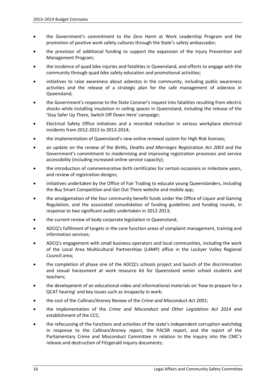- the Government's commitment to the Zero Harm at Work Leadership Program and the promotion of positive work safety cultures through the State's safety ambassador;
- the provision of additional funding to support the expansion of the Injury Prevention and Management Program;
- the incidence of quad bike injuries and fatalities in Queensland, and efforts to engage with the community through quad bike safety education and promotional activities;
- initiatives to raise awareness about asbestos in the community, including public awareness activities and the release of a strategic plan for the safe management of asbestos in Queensland;
- the Government's response to the State Coroner's inquest into fatalities resulting from electric shocks while installing insulation in ceiling spaces in Queensland, including the release of the 'Stay Safer Up There, Switch Off Down Here' campaign;
- Electrical Safety Office initiatives and a recorded reduction in serious workplace electrical incidents from 2012-2013 to 2013-2014;
- the implementation of Queensland's new online renewal system for High Risk licenses;
- an update on the review of the *Births, Deaths and Marriages Registration Act 2003* and the Government's commitment to modernising and improving registration processes and service accessibility (including increased online service capacity);
- the introduction of commemorative birth certificates for certain occasions or milestone years, and review of registration designs;
- initiatives undertaken by the Office of Fair Trading to educate young Queenslanders, including the Buy Smart Competition and Get Out There website and mobile app;
- the amalgamation of the four community benefit funds under the Office of Liquor and Gaming Regulation, and the associated consolidation of funding guidelines and funding rounds, in response to two significant audits undertaken in 2012-2013;
- the current review of body corporate legislation in Queensland;
- ADCQ's fulfilment of targets in the core function areas of complaint management, training and information services;
- ADCQ's engagement with small business operators and local communities, including the work of the Local Area Multicultural Partnerships (LAMP) office in the Lockyer Valley Regional Council area;
- the completion of phase one of the ADCQ's schools project and launch of the discrimination and sexual harassment at work resource kit for Queensland senior school students and teachers;
- the development of an educational video and informational materials on 'how to prepare for a QCAT hearing' and key issues such as incapacity in work;
- the cost of the Callinan/Aroney Review of the *Crime and Misconduct Act 2001*;
- the implementation of the *Crime and Misconduct and Other Legislation Act 2014* and establishment of the CCC;
- the refocussing of the functions and activities of the state's independent corruption watchdog in response to the Callinan/Aroney report, the PACSR report, and the report of the Parliamentary Crime and Misconduct Committee in relation to the inquiry into the CMC's release and destruction of Fitzgerald inquiry documents;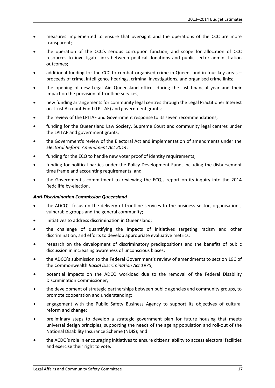- measures implemented to ensure that oversight and the operations of the CCC are more transparent;
- the operation of the CCC's serious corruption function, and scope for allocation of CCC resources to investigate links between political donations and public sector administration outcomes;
- additional funding for the CCC to combat organised crime in Queensland in four key areas proceeds of crime, intelligence hearings, criminal investigations, and organised crime links;
- the opening of new Legal Aid Queensland offices during the last financial year and their impact on the provision of frontline services;
- new funding arrangements for community legal centres through the Legal Practitioner Interest on Trust Account Fund (LPITAF) and government grants;
- the review of the LPITAF and Government response to its seven recommendations;
- funding for the Queensland Law Society, Supreme Court and community legal centres under the LPITAF and government grants;
- the Government's review of the Electoral Act and implementation of amendments under the *Electoral Reform Amendment Act 2014*;
- funding for the ECQ to handle new voter proof of identity requirements;
- funding for political parties under the Policy Development Fund, including the disbursement time frame and accounting requirements; and
- the Government's commitment to reviewing the ECQ's report on its inquiry into the 2014 Redcliffe by-election.

#### *Anti-Discrimination Commission Queensland*

- the ADCQ's focus on the delivery of frontline services to the business sector, organisations, vulnerable groups and the general community;
- initiatives to address discrimination in Queensland;
- the challenge of quantifying the impacts of initiatives targeting racism and other discrimination, and efforts to develop appropriate evaluative metrics;
- research on the development of discriminatory predispositions and the benefits of public discussion in increasing awareness of unconscious biases;
- the ADCQ's submission to the Federal Government's review of amendments to section 19C of the Commonwealth *Racial Discrimination Act 1975*;
- potential impacts on the ADCQ workload due to the removal of the Federal Disability Discrimination Commissioner;
- the development of strategic partnerships between public agencies and community groups, to promote cooperation and understanding;
- engagement with the Public Safety Business Agency to support its objectives of cultural reform and change;
- preliminary steps to develop a strategic government plan for future housing that meets universal design principles, supporting the needs of the ageing population and roll-out of the National Disability Insurance Scheme (NDIS); and
- the ACDQ's role in encouraging initiatives to ensure citizens' ability to access electoral facilities and exercise their right to vote.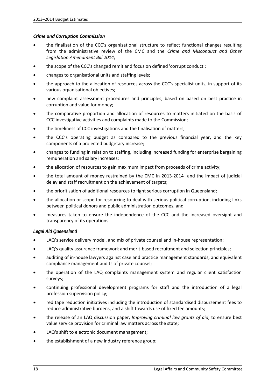#### *Crime and Corruption Commission*

- the finalisation of the CCC's organisational structure to reflect functional changes resulting from the administrative review of the CMC and the *Crime and Misconduct and Other Legislation Amendment Bill 2014*;
- the scope of the CCC's changed remit and focus on defined 'corrupt conduct';
- changes to organisational units and staffing levels;
- the approach to the allocation of resources across the CCC's specialist units, in support of its various organisational objectives;
- new complaint assessment procedures and principles, based on based on best practice in corruption and value for money;
- the comparative proportion and allocation of resources to matters initiated on the basis of CCC investigative activities and complaints made to the Commission;
- the timeliness of CCC investigations and the finalisation of matters;
- the CCC's operating budget as compared to the previous financial year, and the key components of a projected budgetary increase;
- changes to funding in relation to staffing, including increased funding for enterprise bargaining remuneration and salary increases;
- the allocation of resources to gain maximum impact from proceeds of crime activity;
- the total amount of money restrained by the CMC in 2013-2014 and the impact of judicial delay and staff recruitment on the achievement of targets;
- the prioritisation of additional resources to fight serious corruption in Queensland;
- the allocation or scope for resourcing to deal with serious political corruption, including links between political donors and public administration outcomes; and
- measures taken to ensure the independence of the CCC and the increased oversight and transparency of its operations.

#### *Legal Aid Queensland*

- LAQ's service delivery model, and mix of private counsel and in-house representation;
- LAQ's quality assurance framework and merit-based recruitment and selection principles;
- auditing of in-house lawyers against case and practice management standards, and equivalent compliance management audits of private counsel;
- the operation of the LAQ complaints management system and regular client satisfaction surveys;
- continuing professional development programs for staff and the introduction of a legal profession supervision policy;
- red tape reduction initiatives including the introduction of standardised disbursement fees to reduce administrative burdens, and a shift towards use of fixed fee amounts;
- the release of an LAQ discussion paper, *Improving criminal law grants of aid*, to ensure best value service provision for criminal law matters across the state;
- LAQ's shift to electronic document management:
- the establishment of a new industry reference group;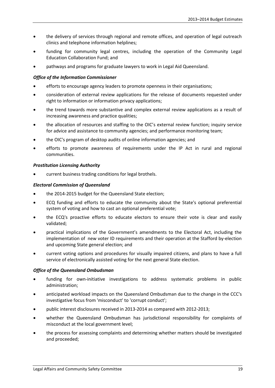- the delivery of services through regional and remote offices, and operation of legal outreach clinics and telephone information helplines;
- funding for community legal centres, including the operation of the Community Legal Education Collaboration Fund; and
- pathways and programs for graduate lawyers to work in Legal Aid Queensland.

#### *Office of the Information Commissioner*

- efforts to encourage agency leaders to promote openness in their organisations;
- consideration of external review applications for the release of documents requested under right to information or information privacy applications;
- the trend towards more substantive and complex external review applications as a result of increasing awareness and practice qualities;
- the allocation of resources and staffing to the OIC's external review function; inquiry service for advice and assistance to community agencies; and performance monitoring team;
- the OIC's program of desktop audits of online information agencies; and
- efforts to promote awareness of requirements under the IP Act in rural and regional communities.

#### *Prostitution Licensing Authority*

• current business trading conditions for legal brothels.

#### *Electoral Commission of Queensland*

- the 2014-2015 budget for the Queensland State election;
- ECQ funding and efforts to educate the community about the State's optional preferential system of voting and how to cast an optional preferential vote;
- the ECQ's proactive efforts to educate electors to ensure their vote is clear and easily validated;
- practical implications of the Government's amendments to the Electoral Act, including the implementation of new voter ID requirements and their operation at the Stafford by-election and upcoming State general election; and
- current voting options and procedures for visually impaired citizens, and plans to have a full service of electronically assisted voting for the next general State election.

#### *Office of the Queensland Ombudsman*

- funding for own-initiative investigations to address systematic problems in public administration;
- anticipated workload impacts on the Queensland Ombudsman due to the change in the CCC's investigative focus from 'misconduct' to 'corrupt conduct';
- public interest disclosures received in 2013-2014 as compared with 2012-2013;
- whether the Queensland Ombudsman has jurisdictional responsibility for complaints of misconduct at the local government level;
- the process for assessing complaints and determining whether matters should be investigated and proceeded;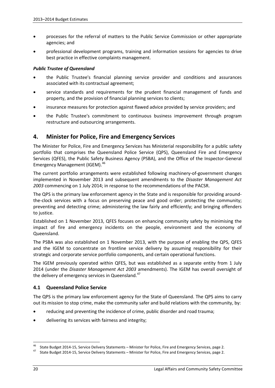- processes for the referral of matters to the Public Service Commission or other appropriate agencies; and
- professional development programs, training and information sessions for agencies to drive best practice in effective complaints management.

#### *Public Trustee of Queensland*

- the Public Trustee's financial planning service provider and conditions and assurances associated with its contractual agreement;
- service standards and requirements for the prudent financial management of funds and property, and the provision of financial planning services to clients;
- insurance measures for protection against flawed advice provided by service providers; and
- the Public Trustee's commitment to continuous business improvement through program restructure and outsourcing arrangements.

## **4. Minister for Police, Fire and Emergency Services**

The Minister for Police, Fire and Emergency Services has Ministerial responsibility for a public safety portfolio that comprises the Queensland Police Service (QPS), Queensland Fire and Emergency Services (QFES), the Public Safety Business Agency (PSBA), and the Office of the Inspector-General Emergency Management (IGEM). [46](#page-25-0)

The current portfolio arrangements were established following machinery-of-government changes implemented in November 2013 and subsequent amendments to the *Disaster Management Act 2003* commencing on 1 July 2014; in response to the recommendations of the PACSR.

The QPS is the primary law enforcement agency in the State and is responsible for providing aroundthe-clock services with a focus on preserving peace and good order; protecting the community; preventing and detecting crime; administering the law fairly and efficiently; and bringing offenders to justice.

Established on 1 November 2013, QFES focuses on enhancing community safety by minimising the impact of fire and emergency incidents on the people, environment and the economy of Queensland.

The PSBA was also established on 1 November 2013, with the purpose of enabling the QPS, QFES and the IGEM to concentrate on frontline service delivery by assuming responsibility for their strategic and corporate service portfolio components, and certain operational functions.

The IGEM previously operated within QFES, but was established as a separate entity from 1 July 2014 (under the *Disaster Management Act 2003* amendments). The IGEM has overall oversight of the delivery of emergency services in Queensland.<sup>[47](#page-25-1)</sup>

#### **4.1 Queensland Police Service**

The QPS is the primary law enforcement agency for the State of Queensland. The QPS aims to carry out its mission to stop crime, make the community safer and build relations with the community, by:

- reducing and preventing the incidence of crime, public disorder and road trauma;
- delivering its services with fairness and integrity;

<span id="page-25-1"></span><span id="page-25-0"></span><sup>&</sup>lt;sup>46</sup> State Budget 2014-15, Service Delivery Statements – Minister for Police, Fire and Emergency Services, page 2.<br><sup>47</sup> State Budget 2014-15, Service Delivery Statements – Minister for Police, Fire and Emergency Services,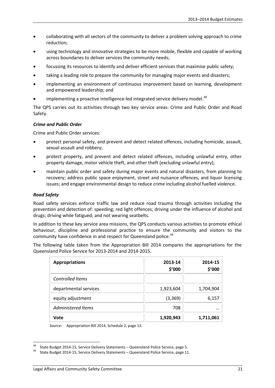- collaborating with all sectors of the community to deliver a problem solving approach to crime reduction;
- using technology and innovative strategies to be more mobile, flexible and capable of working across boundaries to deliver services the community needs;
- focussing its resources to identify and deliver efficient services that maximise public safety;
- taking a leading role to prepare the community for managing major events and disasters;
- implementing an environment of continuous improvement based on learning, development and empowered leadership; and
- implementing a proactive intelligence-led integrated service delivery model.<sup>[48](#page-26-0)</sup>

The QPS carries out its activities through two key service areas: Crime and Public Order and Road Safety.

#### *Crime and Public Order*

Crime and Public Order services:

- protect personal safety, and prevent and detect related offences, including homicide, assault, sexual assault and robbery;
- protect property, and prevent and detect related offences, including unlawful entry, other property damage, motor vehicle theft, and other theft (excluding unlawful entry);
- maintain public order and safety during major events and natural disasters, from planning to recovery; address public space enjoyment, street and nuisance offences, and liquor licensing issues; and engage environmental design to reduce crime including alcohol fuelled violence.

#### *Road Safety*

Road safety services enforce traffic law and reduce road trauma through activities including the prevention and detection of: speeding; red light offences; driving under the influence of alcohol and drugs; driving while fatigued; and not wearing seatbelts.

In addition to these key service area missions, the QPS conducts various activities to promote ethical behaviour, discipline and professional practice to ensure the community and visitors to the community have confidence in and respect for Queensland police.<sup>[49](#page-26-1)</sup>

The following table taken from the Appropriation Bill 2014 compares the appropriations for the Queensland Police Service for 2013-2014 and 2014-2015.

| <b>Appropriations</b>   | 2013-14<br>\$'000 | 2014-15<br>\$'000 |
|-------------------------|-------------------|-------------------|
| <b>Controlled Items</b> |                   |                   |
| departmental services   | 1,923,604         | 1,704,904         |
| equity adjustment       | (3, 369)          | 6,157             |
| Administered Items      | 708               |                   |
| Vote                    | 1,920,943         | 1,711,061         |

*Source:* Appropriation Bill 2014, Schedule 2, page 13.

<span id="page-26-0"></span>State Budget 2014-15, Service Delivery Statements – Queensland Police Service, page 5.<br>59 State Budget 2014-15, Service Delivery Statements – Queensland Police Service, page 11.

<span id="page-26-1"></span>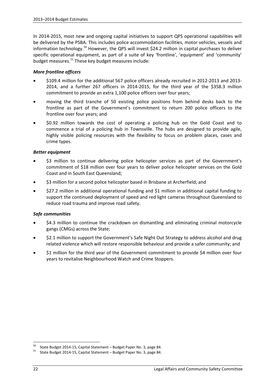In 2014-2015, most new and ongoing capital initiatives to support QPS operational capabilities will be delivered by the PSBA. This includes police accommodation facilities, motor vehicles, vessels and information technology.<sup>[50](#page-27-0)</sup> However, the QPS will invest \$24.2 million in capital purchases to deliver specific operational equipment, as part of a suite of key 'frontline', 'equipment' and 'community' budget measures. [51](#page-27-1) These key budget measures include:

#### *More frontline officers*

- \$109.4 million for the additional 567 police officers already recruited in 2012-2013 and 2013- 2014, and a further 267 officers in 2014-2015, for the third year of the \$358.3 million commitment to provide an extra 1,100 police officers over four years;
- moving the third tranche of 50 existing police positions from behind desks back to the frontline as part of the Government's commitment to return 200 police officers to the frontline over four years; and
- \$0.92 million towards the cost of operating a policing hub on the Gold Coast and to commence a trial of a policing hub in Townsville. The hubs are designed to provide agile, highly visible policing resources with the flexibility to focus on problem places, cases and crime types.

#### *Better equipment*

- \$3 million to continue delivering police helicopter services as part of the Government's commitment of \$18 million over four years to deliver police helicopter services on the Gold Coast and in South East Queensland;
- \$3 million for a second police helicopter based in Brisbane at Archerfield; and
- \$27.2 million in additional operational funding and \$1 million in additional capital funding to support the continued deployment of speed and red light cameras throughout Queensland to reduce road trauma and improve road safety.

#### *Safe communities*

- \$4.3 million to continue the crackdown on dismantling and eliminating criminal motorcycle gangs (CMGs) across the State;
- \$2.1 million to support the Government's Safe Night Out Strategy to address alcohol and drug related violence which will restore responsible behaviour and provide a safer community; and
- \$1 million for the third year of the Government commitment to provide \$4 million over four years to revitalise Neighbourhood Watch and Crime Stoppers.

<span id="page-27-1"></span><span id="page-27-0"></span><sup>&</sup>lt;sup>50</sup> State Budget 2014-15, Capital Statement – Budget Paper No. 3, page 84.<br><sup>51</sup> State Budget 2014-15, Capital Statement – Budget Paper No. 3, page 84.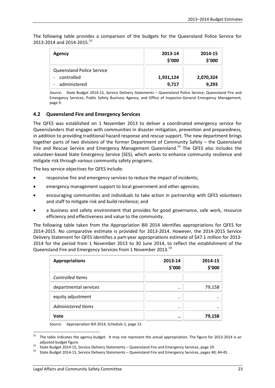The following table provides a comparison of the budgets for the Queensland Police Service for 2013-2014 and 2014-2015. [52](#page-28-0)

| Agency                           | 2013-14<br>\$'000 | 2014-15<br>\$'000 |
|----------------------------------|-------------------|-------------------|
| <b>Queensland Police Service</b> |                   |                   |
| controlled<br>-                  | 1,931,124         | 2,070,324         |
| administered                     | 9,717             | 9,293             |

*Source*: State Budget 2014-15, Service Delivery Statements – Queensland Police Service; Queensland Fire and Emergency Services; Public Safety Business Agency; and Office of Inspector-General Emergency Management, page 9.

#### **4.2 Queensland Fire and Emergency Services**

The QFES was established on 1 November 2013 to deliver a coordinated emergency service for Queenslanders that engages with communities in disaster mitigation, prevention and preparedness, in addition to providing traditional hazard response and rescue support. The new department brings together parts of two divisions of the former Department of Community Safety – the Queensland Fire and Rescue Service and Emergency Management Queensland.<sup>[53](#page-28-1)</sup> The QFES also includes the volunteer-based State Emergency Service (SES), which works to enhance community resilience and mitigate risk through various community safety programs.

The key service objectives for QFES include:

- responsive fire and emergency services to reduce the impact of incidents;
- emergency management support to local government and other agencies;
- encouraging communities and individuals to take action in partnership with QFES volunteers and staff to mitigate risk and build resilience; and
- a business and safety environment that provides for good governance, safe work, resource efficiency and effectiveness and value to the community.

The following table taken from the Appropriation Bill 2014 identifies appropriations for QFES for 2014-2015. No comparative estimate is provided for 2013-2014. However, the 2014-2015 Service Delivery Statement for QFES identifies a part-year appropriations estimate of \$47.1 million for 2013- 2014 for the period from 1 November 2013 to 30 June 2014, to reflect the establishment of the Queensland Fire and Emergency Services from 1 November 2013.<sup>[54](#page-28-2)</sup>

| <b>Appropriations</b>   | 2013-14<br>\$'000 | 2014-15<br>\$'000 |
|-------------------------|-------------------|-------------------|
| <b>Controlled Items</b> |                   |                   |
| departmental services   |                   | 79,158            |
| equity adjustment       |                   | $\cdot$           |
| Administered Items      |                   | $\cdot$ .         |
| Vote                    | $\cdot$           | 79,158            |

*Source:* Appropriation Bill 2014, Schedule 2, page 13.

<span id="page-28-0"></span> $52$  The table indicates the agency budget. It may not represent the actual appropriation. The figure for 2013-2014 is an

<span id="page-28-2"></span>

<span id="page-28-1"></span>adjusted budget figure.<br>53 State Budget 2014-15, Service Delivery Statements – Queensland Fire and Emergency Services, page 29.<br>54 State Budget 2014-15, Service Delivery Statements – Queensland Fire and Emergency Services,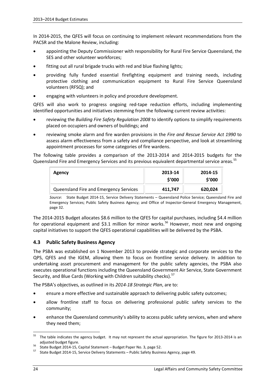In 2014-2015, the QFES will focus on continuing to implement relevant recommendations from the PACSR and the Malone Review, including:

- appointing the Deputy Commissioner with responsibility for Rural Fire Service Queensland, the SES and other volunteer workforces;
- fitting out all rural brigade trucks with red and blue flashing lights;
- providing fully funded essential firefighting equipment and training needs, including protective clothing and communication equipment to Rural Fire Service Queensland volunteers (RFSQ); and
- engaging with volunteers in policy and procedure development.

QFES will also work to progress ongoing red-tape reduction efforts, including implementing identified opportunities and initiatives stemming from the following current review activities:

- reviewing the *Building Fire Safety Regulation 2008* to identify options to simplify requirements placed on occupiers and owners of buildings; and
- reviewing smoke alarm and fire warden provisions in the *Fire and Rescue Service Act 1990* to assess alarm effectiveness from a safety and compliance perspective, and look at streamlining appointment processes for some categories of fire wardens.

The following table provides a comparison of the 2013-2014 and 2014-2015 budgets for the Queensland Fire and Emergency Services and its previous equivalent departmental service areas.<sup>[55](#page-29-0)</sup>

| Agency                                 | 2013-14<br>\$′000 | 2014-15<br>\$′000 |
|----------------------------------------|-------------------|-------------------|
| Queensland Fire and Emergency Services | 411,747           | 620,024           |

*Source*: State Budget 2014-15, Service Delivery Statements – Queensland Police Service; Queensland Fire and Emergency Services; Public Safety Business Agency; and Office of Inspector-General Emergency Management, page 32.

The 2014-2015 Budget allocates \$8.6 million to the QFES for capital purchases, including \$4.4 million for operational equipment and \$3.1 million for minor works.<sup>[56](#page-29-1)</sup> However, most new and ongoing capital initiatives to support the QFES operational capabilities will be delivered by the PSBA.

#### **4.3 Public Safety Business Agency**

The PSBA was established on 1 November 2013 to provide strategic and corporate services to the QPS, QFES and the IGEM, allowing them to focus on frontline service delivery. In addition to undertaking asset procurement and management for the public safety agencies, the PSBA also executes operational functions including the Queensland Government Air Service, State Government Security, and Blue Cards (Working with Children suitability checks).<sup>[57](#page-29-2)</sup>

The PSBA's objectives, as outlined in its *2014-18 Strategic Plan*, are to:

- ensure a more effective and sustainable approach to delivering public safety outcomes;
- allow frontline staff to focus on delivering professional public safety services to the community;
- enhance the Queensland community's ability to access public safety services, when and where they need them;

<span id="page-29-0"></span><sup>&</sup>lt;sup>55</sup> The table indicates the agency budget. It may not represent the actual appropriation. The figure for 2013-2014 is an

<span id="page-29-2"></span>

<span id="page-29-1"></span>adjusted budget figure.<br>
<sup>56</sup> State Budget 2014-15, Capital Statement – Budget Paper No. 3, page 52.<br>
<sup>57</sup> State Budget 2014-15, Service Delivery Statements – Public Safety Business Agency, page 49.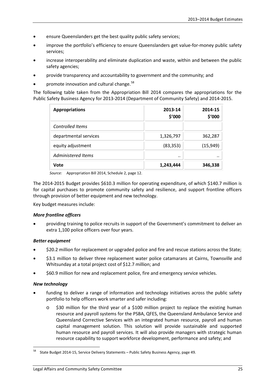- ensure Queenslanders get the best quality public safety services;
- improve the portfolio's efficiency to ensure Queenslanders get value-for-money public safety services;
- increase interoperability and eliminate duplication and waste, within and between the public safety agencies;
- provide transparency and accountability to government and the community; and
- promote innovation and cultural change.<sup>[58](#page-30-0)</sup>

The following table taken from the Appropriation Bill 2014 compares the appropriations for the Public Safety Business Agency for 2013-2014 (Department of Community Safety) and 2014-2015.

| <b>Appropriations</b>   | 2013-14<br>\$'000 | 2014-15<br>\$'000 |
|-------------------------|-------------------|-------------------|
| <b>Controlled Items</b> |                   |                   |
| departmental services   | 1,326,797         | 362,287           |
| equity adjustment       | (83, 353)         | (15, 949)         |
| Administered Items      |                   | $\cdot$ .         |
| Vote                    | 1,243,444         | 346,338           |

*Source:* Appropriation Bill 2014, Schedule 2, page 12.

The 2014-2015 Budget provides \$610.3 million for operating expenditure, of which \$140.7 million is for capital purchases to promote community safety and resilience, and support frontline officers through provision of better equipment and new technology.

Key budget measures include:

#### *More frontline officers*

• providing training to police recruits in support of the Government's commitment to deliver an extra 1,100 police officers over four years.

#### *Better equipment*

- \$20.2 million for replacement or upgraded police and fire and rescue stations across the State;
- \$3.1 million to deliver three replacement water police catamarans at Cairns, Townsville and Whitsunday at a total project cost of \$12.7 million; and
- \$60.9 million for new and replacement police, fire and emergency service vehicles.

#### *New technology*

- funding to deliver a range of information and technology initiatives across the public safety portfolio to help officers work smarter and safer including:
	- \$30 million for the third year of a \$100 million project to replace the existing human resource and payroll systems for the PSBA, QFES, the Queensland Ambulance Service and Queensland Corrective Services with an integrated human resource, payroll and human capital management solution. This solution will provide sustainable and supported human resource and payroll services. It will also provide managers with strategic human resource capability to support workforce development, performance and safety; and

<span id="page-30-0"></span><sup>58</sup> State Budget 2014-15, Service Delivery Statements – Public Safety Business Agency, page 49.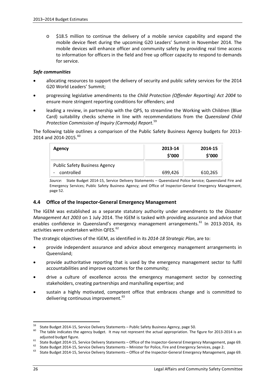o \$18.5 million to continue the delivery of a mobile service capability and expand the mobile device fleet during the upcoming G20 Leaders' Summit in November 2014. The mobile devices will enhance officer and community safety by providing real time access to information for officers in the field and free up officer capacity to respond to demands for service.

#### *Safe communities*

- allocating resources to support the delivery of security and public safety services for the 2014 G20 World Leaders' Summit;
- progressing legislative amendments to the *Child Protection (Offender Reporting) Act 2004* to ensure more stringent reporting conditions for offenders; and
- leading a review, in partnership with the QPS, to streamline the Working with Children (Blue Card) suitability checks scheme in line with recommendations from the *Queensland Child Protection Commission of Inquiry (Carmody) Report*. [59](#page-31-0)

The following table outlines a comparison of the Public Safety Business Agency budgets for 2013- 2014 and 2014-2015.<sup>[60](#page-31-1)</sup>

| Agency                                             | 2013-14<br>\$'000 | 2014-15<br>\$'000 |
|----------------------------------------------------|-------------------|-------------------|
| <b>Public Safety Business Agency</b><br>controlled | 699,426           | 610,265           |

*Source*: State Budget 2014-15, Service Delivery Statements – Queensland Police Service; Queensland Fire and Emergency Services; Public Safety Business Agency; and Office of Inspector-General Emergency Management, page 52.

#### **4.4 Office of the Inspector-General Emergency Management**

The IGEM was established as a separate statutory authority under amendments to the *Disaster Management Act 2003* on 1 July 2014. The IGEM is tasked with providing assurance and advice that enables confidence in Queensland's emergency management arrangements.<sup>[61](#page-31-2)</sup> In 2013-2014, its activities were undertaken within QFES.<sup>[62](#page-31-3)</sup>

The strategic objectives of the IGEM, as identified in its *2014-18 Strategic Plan*, are to:

- provide independent assurance and advice about emergency management arrangements in Queensland;
- provide authoritative reporting that is used by the emergency management sector to fulfil accountabilities and improve outcomes for the community;
- drive a culture of excellence across the emergency management sector by connecting stakeholders, creating partnerships and marshalling expertise; and
- sustain a highly motivated, competent office that embraces change and is committed to delivering continuous improvement.<sup>[63](#page-31-4)</sup>

<span id="page-31-0"></span><sup>&</sup>lt;sup>59</sup> State Budget 2014-15, Service Delivery Statements – Public Safety Business Agency, page 50.<br><sup>60</sup> The table indicates the agency budget. It may not represent the actual appropriation. The figure for 2013-2014 is an

<span id="page-31-2"></span><span id="page-31-1"></span>adjusted budget figure.<br>
State Budget 2014-15, Service Delivery Statements – Office of the Inspector-General Emergency Management, page 69.<br>
State Budget 2014-15, Service Delivery Statements – Minister for Police, Fire and

<span id="page-31-3"></span>

<span id="page-31-4"></span>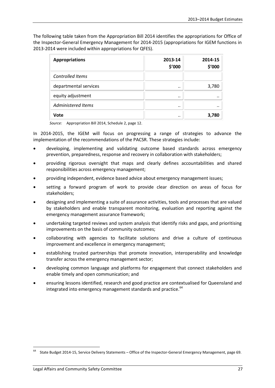The following table taken from the Appropriation Bill 2014 identifies the appropriations for Office of the Inspector-General Emergency Management for 2014-2015 (appropriations for IGEM functions in 2013-2014 were included within appropriations for QFES).

| <b>Appropriations</b>     | 2013-14<br>\$'000 | 2014-15<br>\$'000 |
|---------------------------|-------------------|-------------------|
| Controlled Items          |                   |                   |
| departmental services     |                   | 3,780             |
| equity adjustment         |                   |                   |
| <b>Administered Items</b> |                   |                   |
| Vote                      |                   | 3,780             |

*Source:* Appropriation Bill 2014, Schedule 2, page 12.

In 2014-2015, the IGEM will focus on progressing a range of strategies to advance the implementation of the recommendations of the PACSR. These strategies include:

- developing, implementing and validating outcome based standards across emergency prevention, preparedness, response and recovery in collaboration with stakeholders;
- providing rigorous oversight that maps and clearly defines accountabilities and shared responsibilities across emergency management;
- providing independent, evidence based advice about emergency management issues;
- setting a forward program of work to provide clear direction on areas of focus for stakeholders;
- designing and implementing a suite of assurance activities, tools and processes that are valued by stakeholders and enable transparent monitoring, evaluation and reporting against the emergency management assurance framework;
- undertaking targeted reviews and system analysis that identify risks and gaps, and prioritising improvements on the basis of community outcomes;
- collaborating with agencies to facilitate solutions and drive a culture of continuous improvement and excellence in emergency management;
- establishing trusted partnerships that promote innovation, interoperability and knowledge transfer across the emergency management sector;
- developing common language and platforms for engagement that connect stakeholders and enable timely and open communication; and
- ensuring lessons identified, research and good practice are contextualised for Queensland and integrated into emergency management standards and practice.<sup>[64](#page-32-0)</sup>

<span id="page-32-0"></span><sup>&</sup>lt;sup>64</sup> State Budget 2014-15, Service Delivery Statements – Office of the Inspector-General Emergency Management, page 69.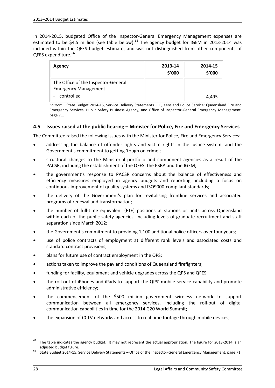In 2014-2015, budgeted Office of the Inspector-General Emergency Management expenses are estimated to be \$4.5 million (see table below).<sup>[65](#page-33-0)</sup> The agency budget for IGEM in 2013-2014 was included within the QFES budget estimate, and was not distinguished from other components of QFES expenditure.<sup>[66](#page-33-1)</sup>

| Agency                                                             | 2013-14<br>\$'000 | 2014-15<br>\$'000 |
|--------------------------------------------------------------------|-------------------|-------------------|
| The Office of the Inspector-General<br><b>Emergency Management</b> |                   |                   |
| controlled                                                         | $\cdots$          | 4.495             |

*Source*: State Budget 2014-15, Service Delivery Statements – Queensland Police Service; Queensland Fire and Emergency Services; Public Safety Business Agency; and Office of Inspector-General Emergency Management, page 71.

#### **4.5 Issues raised at the public hearing – Minister for Police, Fire and Emergency Services**

The Committee raised the following issues with the Minister for Police, Fire and Emergency Services:

- addressing the balance of offender rights and victim rights in the justice system, and the Government's commitment to getting 'tough on crime';
- structural changes to the Ministerial portfolio and component agencies as a result of the PACSR, including the establishment of the QFES, the PSBA and the IGEM;
- the government's response to PACSR concerns about the balance of effectiveness and efficiency measures employed in agency budgets and reporting, including a focus on continuous improvement of quality systems and ISO9000-compliant standards;
- the delivery of the Government's plan for revitalising frontline services and associated programs of renewal and transformation;
- the number of full-time equivalent (FTE) positions at stations or units across Queensland within each of the public safety agencies, including levels of graduate recruitment and staff separation since March 2012;
- the Government's commitment to providing 1,100 additional police officers over four years;
- use of police contracts of employment at different rank levels and associated costs and standard contract provisions;
- plans for future use of contract employment in the QPS;
- actions taken to improve the pay and conditions of Queensland firefighters;
- funding for facility, equipment and vehicle upgrades across the QPS and QFES;
- the roll-out of iPhones and iPads to support the QPS' mobile service capability and promote administrative efficiency;
- the commencement of the \$500 million government wireless network to support communication between all emergency services, including the roll-out of digital communication capabilities in time for the 2014 G20 World Summit;
- the expansion of CCTV networks and access to real time footage through mobile devices;

<span id="page-33-0"></span> $65$  The table indicates the agency budget. It may not represent the actual appropriation. The figure for 2013-2014 is an adjusted budget figure.<br><sup>66</sup> State Budget 2014-15, Service Delivery Statements – Office of the Inspector-General Emergency Management, page 71.

<span id="page-33-1"></span>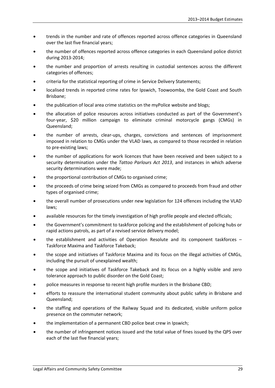- trends in the number and rate of offences reported across offence categories in Queensland over the last five financial years;
- the number of offences reported across offence categories in each Queensland police district during 2013-2014;
- the number and proportion of arrests resulting in custodial sentences across the different categories of offences;
- criteria for the statistical reporting of crime in Service Delivery Statements;
- localised trends in reported crime rates for Ipswich, Toowoomba, the Gold Coast and South Brisbane;
- the publication of local area crime statistics on the myPolice website and blogs;
- the allocation of police resources across initiatives conducted as part of the Government's four-year, \$20 million campaign to eliminate criminal motorcycle gangs (CMGs) in Queensland;
- the number of arrests, clear-ups, charges, convictions and sentences of imprisonment imposed in relation to CMGs under the VLAD laws, as compared to those recorded in relation to pre-existing laws;
- the number of applications for work licences that have been received and been subject to a security determination under the *Tattoo Parlours Act 2013*, and instances in which adverse security determinations were made;
- the proportional contribution of CMGs to organised crime;
- the proceeds of crime being seized from CMGs as compared to proceeds from fraud and other types of organised crime;
- the overall number of prosecutions under new legislation for 124 offences including the VLAD laws;
- available resources for the timely investigation of high profile people and elected officials;
- the Government's commitment to taskforce policing and the establishment of policing hubs or rapid actions patrols, as part of a revised service delivery model;
- the establishment and activities of Operation Resolute and its component taskforces -Taskforce Maxima and Taskforce Takeback;
- the scope and initiatives of Taskforce Maxima and its focus on the illegal activities of CMGs, including the pursuit of unexplained wealth;
- the scope and initiatives of Taskforce Takeback and its focus on a highly visible and zero tolerance approach to public disorder on the Gold Coast;
- police measures in response to recent high profile murders in the Brisbane CBD;
- efforts to reassure the international student community about public safety in Brisbane and Queensland;
- the staffing and operations of the Railway Squad and its dedicated, visible uniform police presence on the commuter network;
- the implementation of a permanent CBD police beat crew in Ipswich;
- the number of infringement notices issued and the total value of fines issued by the QPS over each of the last five financial years;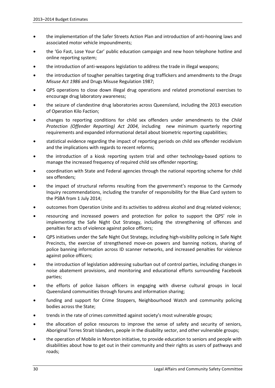- the implementation of the Safer Streets Action Plan and introduction of anti-hooning laws and associated motor vehicle impoundments;
- the 'Go Fast, Lose Your Car' public education campaign and new hoon telephone hotline and online reporting system;
- the introduction of anti-weapons legislation to address the trade in illegal weapons;
- the introduction of tougher penalties targeting drug traffickers and amendments to the *Drugs Misuse Act 1986* and Drugs Misuse Regulation 1987;
- QPS operations to close down illegal drug operations and related promotional exercises to encourage drug laboratory awareness;
- the seizure of clandestine drug laboratories across Queensland, including the 2013 execution of Operation Kilo Faction;
- changes to reporting conditions for child sex offenders under amendments to the *Child Protection (Offender Reporting) Act 2004*, including new minimum quarterly reporting requirements and expanded informational detail about biometric reporting capabilities;
- statistical evidence regarding the impact of reporting periods on child sex offender recidivism and the implications with regards to recent reforms;
- the introduction of a kiosk reporting system trial and other technology-based options to manage the increased frequency of required child sex offender reporting;
- coordination with State and Federal agencies through the national reporting scheme for child sex offenders;
- the impact of structural reforms resulting from the government's response to the Carmody Inquiry recommendations, including the transfer of responsibility for the Blue Card system to the PSBA from 1 July 2014;
- outcomes from Operation Unite and its activities to address alcohol and drug related violence;
- resourcing and increased powers and protection for police to support the QPS' role in implementing the Safe Night Out Strategy, including the strengthening of offences and penalties for acts of violence against police officers;
- QPS initiatives under the Safe Night Out Strategy, including high-visibility policing in Safe Night Precincts, the exercise of strengthened move-on powers and banning notices, sharing of police banning information across ID scanner networks, and increased penalties for violence against police officers;
- the introduction of legislation addressing suburban out of control parties, including changes in noise abatement provisions, and monitoring and educational efforts surrounding Facebook parties;
- the efforts of police liaison officers in engaging with diverse cultural groups in local Queensland communities through forums and information sharing;
- funding and support for Crime Stoppers, Neighbourhood Watch and community policing bodies across the State;
- trends in the rate of crimes committed against society's most vulnerable groups;
- the allocation of police resources to improve the sense of safety and security of seniors, Aboriginal Torres Strait Islanders, people in the disability sector, and other vulnerable groups;
- the operation of Mobile in Moreton initiative, to provide education to seniors and people with disabilities about how to get out in their community and their rights as users of pathways and roads;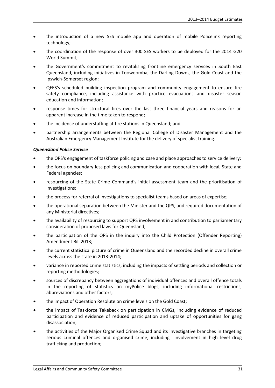- the introduction of a new SES mobile app and operation of mobile Policelink reporting technology;
- the coordination of the response of over 300 SES workers to be deployed for the 2014 G20 World Summit;
- the Government's commitment to revitalising frontline emergency services in South East Queensland, including initiatives in Toowoomba, the Darling Downs, the Gold Coast and the Ipswich-Somerset region;
- QFES's scheduled building inspection program and community engagement to ensure fire safety compliance, including assistance with practice evacuations and disaster season education and information;
- response times for structural fires over the last three financial years and reasons for an apparent increase in the time taken to respond;
- the incidence of understaffing at fire stations in Queensland; and
- partnership arrangements between the Regional College of Disaster Management and the Australian Emergency Management Institute for the delivery of specialist training.

#### *Queensland Police Service*

- the QPS's engagement of taskforce policing and case and place approaches to service delivery;
- the focus on boundary-less policing and communication and cooperation with local, State and Federal agencies;
- resourcing of the State Crime Command's initial assessment team and the prioritisation of investigations;
- the process for referral of investigations to specialist teams based on areas of expertise;
- the operational separation between the Minister and the QPS, and required documentation of any Ministerial directives;
- the availability of resourcing to support QPS involvement in and contribution to parliamentary consideration of proposed laws for Queensland;
- the participation of the QPS in the inquiry into the Child Protection (Offender Reporting) Amendment Bill 2013;
- the current statistical picture of crime in Queensland and the recorded decline in overall crime levels across the state in 2013-2014;
- variance in reported crime statistics, including the impacts of settling periods and collection or reporting methodologies;
- sources of discrepancy between aggregations of individual offences and overall offence totals in the reporting of statistics on myPolice blogs, including informational restrictions, abbreviations and other factors;
- the impact of Operation Resolute on crime levels on the Gold Coast;
- the impact of Taskforce Takeback on participation in CMGs, including evidence of reduced participation and evidence of reduced participation and uptake of opportunities for gang disassociation;
- the activities of the Major Organised Crime Squad and its investigative branches in targeting serious criminal offences and organised crime, including involvement in high level drug trafficking and production;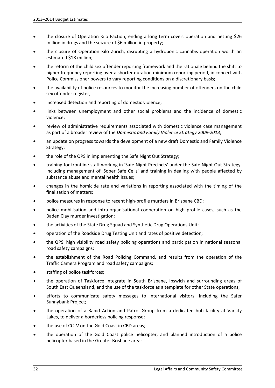- the closure of Operation Kilo Faction, ending a long term covert operation and netting \$26 million in drugs and the seizure of \$6 million in property;
- the closure of Operation Kilo Zurich, disrupting a hydroponic cannabis operation worth an estimated \$18 million;
- the reform of the child sex offender reporting framework and the rationale behind the shift to higher frequency reporting over a shorter duration minimum reporting period, in concert with Police Commissioner powers to vary reporting conditions on a discretionary basis;
- the availability of police resources to monitor the increasing number of offenders on the child sex offender register;
- increased detection and reporting of domestic violence;
- links between unemployment and other social problems and the incidence of domestic violence;
- review of administrative requirements associated with domestic violence case management as part of a broader review of the *Domestic and Family Violence Strategy 2009-2013*;
- an update on progress towards the development of a new draft Domestic and Family Violence Strategy;
- the role of the QPS in implementing the Safe Night Out Strategy;
- training for frontline staff working in 'Safe Night Precincts' under the Safe Night Out Strategy, including management of 'Sober Safe Cells' and training in dealing with people affected by substance abuse and mental health issues;
- changes in the homicide rate and variations in reporting associated with the timing of the finalisation of matters;
- police measures in response to recent high-profile murders in Brisbane CBD;
- police mobilisation and intra-organisational cooperation on high profile cases, such as the Baden Clay murder investigation;
- the activities of the State Drug Squad and Synthetic Drug Operations Unit;
- operation of the Roadside Drug Testing Unit and rates of positive detection;
- the QPS' high visibility road safety policing operations and participation in national seasonal road safety campaigns;
- the establishment of the Road Policing Command, and results from the operation of the Traffic Camera Program and road safety campaigns;
- staffing of police taskforces;
- the operation of Taskforce Integrate in South Brisbane, Ipswich and surrounding areas of South East Queensland, and the use of the taskforce as a template for other State operations;
- efforts to communicate safety messages to international visitors, including the Safer Sunnybank Project;
- the operation of a Rapid Action and Patrol Group from a dedicated hub facility at Varsity Lakes, to deliver a borderless policing response;
- the use of CCTV on the Gold Coast in CBD areas;
- the operation of the Gold Coast police helicopter, and planned introduction of a police helicopter based in the Greater Brisbane area;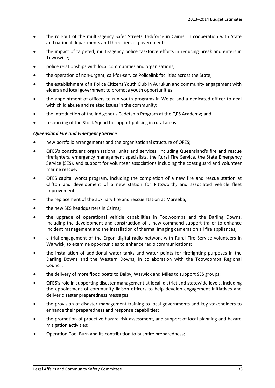- the roll-out of the multi-agency Safer Streets Taskforce in Cairns, in cooperation with State and national departments and three tiers of government;
- the impact of targeted, multi-agency police taskforce efforts in reducing break and enters in Townsville;
- police relationships with local communities and organisations;
- the operation of non-urgent, call-for-service Policelink facilities across the State;
- the establishment of a Police Citizens Youth Club in Aurukun and community engagement with elders and local government to promote youth opportunities;
- the appointment of officers to run youth programs in Weipa and a dedicated officer to deal with child abuse and related issues in the community;
- the introduction of the Indigenous Cadetship Program at the QPS Academy; and
- resourcing of the Stock Squad to support policing in rural areas.

#### *Queensland Fire and Emergency Service*

- new portfolio arrangements and the organisational structure of QFES;
- QFES's constituent organisational units and services, including Queensland's fire and rescue firefighters, emergency management specialists, the Rural Fire Service, the State Emergency Service (SES), and support for volunteer associations including the coast guard and volunteer marine rescue;
- QFES capital works program, including the completion of a new fire and rescue station at Clifton and development of a new station for Pittsworth, and associated vehicle fleet improvements;
- the replacement of the auxiliary fire and rescue station at Mareeba;
- the new SES headquarters in Cairns;
- the upgrade of operational vehicle capabilities in Toowoomba and the Darling Downs, including the development and construction of a new command support trailer to enhance incident management and the installation of thermal imaging cameras on all fire appliances;
- a trial engagement of the Ergon digital radio network with Rural Fire Service volunteers in Warwick, to examine opportunities to enhance radio communications;
- the installation of additional water tanks and water points for firefighting purposes in the Darling Downs and the Western Downs, in collaboration with the Toowoomba Regional Council;
- the delivery of more flood boats to Dalby, Warwick and Miles to support SES groups;
- QFES's role in supporting disaster management at local, district and statewide levels, including the appointment of community liaison officers to help develop engagement initiatives and deliver disaster preparedness messages;
- the provision of disaster management training to local governments and key stakeholders to enhance their preparedness and response capabilities;
- the promotion of proactive hazard risk assessment, and support of local planning and hazard mitigation activities;
- Operation Cool Burn and its contribution to bushfire preparedness;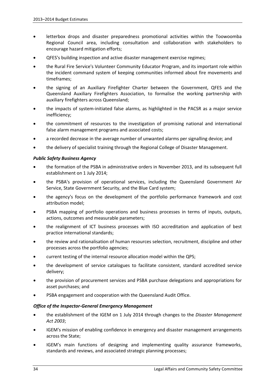- letterbox drops and disaster preparedness promotional activities within the Toowoomba Regional Council area, including consultation and collaboration with stakeholders to encourage hazard mitigation efforts;
- QFES's building inspection and active disaster management exercise regimes;
- the Rural Fire Service's Volunteer Community Educator Program, and its important role within the incident command system of keeping communities informed about fire movements and timeframes;
- the signing of an Auxiliary Firefighter Charter between the Government, QFES and the Queensland Auxiliary Firefighters Association, to formalise the working partnership with auxiliary firefighters across Queensland;
- the impacts of system-initiated false alarms, as highlighted in the PACSR as a major service inefficiency;
- the commitment of resources to the investigation of promising national and international false alarm management programs and associated costs;
- a recorded decrease in the average number of unwanted alarms per signalling device; and
- the delivery of specialist training through the Regional College of Disaster Management.

#### *Public Safety Business Agency*

- the formation of the PSBA in administrative orders in November 2013, and its subsequent full establishment on 1 July 2014;
- the PSBA's provision of operational services, including the Queensland Government Air Service, State Government Security, and the Blue Card system;
- the agency's focus on the development of the portfolio performance framework and cost attribution model;
- PSBA mapping of portfolio operations and business processes in terms of inputs, outputs, actions, outcomes and measurable parameters;
- the realignment of ICT business processes with ISO accreditation and application of best practice international standards;
- the review and rationalisation of human resources selection, recruitment, discipline and other processes across the portfolio agencies;
- current testing of the internal resource allocation model within the QPS;
- the development of service catalogues to facilitate consistent, standard accredited service delivery;
- the provision of procurement services and PSBA purchase delegations and appropriations for asset purchases; and
- PSBA engagement and cooperation with the Queensland Audit Office.

#### *Office of the Inspector-General Emergency Management*

- the establishment of the IGEM on 1 July 2014 through changes to the *Disaster Management Act 2003*;
- IGEM's mission of enabling confidence in emergency and disaster management arrangements across the State;
- IGEM's main functions of designing and implementing quality assurance frameworks, standards and reviews, and associated strategic planning processes;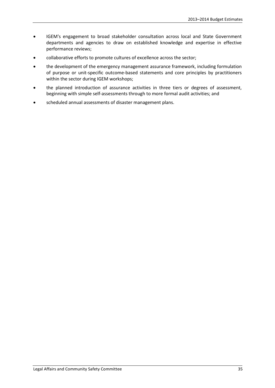- IGEM's engagement to broad stakeholder consultation across local and State Government departments and agencies to draw on established knowledge and expertise in effective performance reviews;
- collaborative efforts to promote cultures of excellence across the sector;
- the development of the emergency management assurance framework, including formulation of purpose or unit-specific outcome-based statements and core principles by practitioners within the sector during IGEM workshops;
- the planned introduction of assurance activities in three tiers or degrees of assessment, beginning with simple self-assessments through to more formal audit activities; and
- scheduled annual assessments of disaster management plans.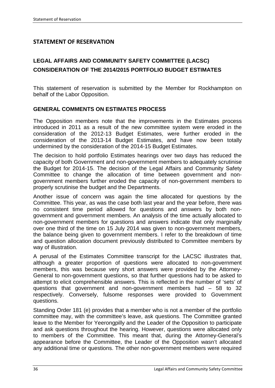## **STATEMENT OF RESERVATION**

## **LEGAL AFFAIRS AND COMMUNITY SAFETY COMMITTEE (LACSC) CONSIDERATION OF THE 2014/2015 PORTFOLIO BUDGET ESTIMATES**

This statement of reservation is submitted by the Member for Rockhampton on behalf of the Labor Opposition.

## **GENERAL COMMENTS ON ESTIMATES PROCESS**

The Opposition members note that the improvements in the Estimates process introduced in 2011 as a result of the new committee system were eroded in the consideration of the 2012-13 Budget Estimates, were further eroded in the consideration of the 2013-14 Budget Estimates, and have now been totally undermined by the consideration of the 2014-15 Budget Estimates.

The decision to hold portfolio Estimates hearings over two days has reduced the capacity of both Government and non-government members to adequately scrutinise the Budget for 2014-15. The decision of the Legal Affairs and Community Safety Committee to change the allocation of time between government and nongovernment members further eroded the capacity of non-government members to properly scrutinise the budget and the Departments.

Another issue of concern was again the time allocated for questions by the Committee. This year, as was the case both last year and the year before, there was no consistent time period allowed for questions and answers by both nongovernment and government members. An analysis of the time actually allocated to non-government members for questions and answers indicate that only marginally over one third of the time on 15 July 2014 was given to non-government members, the balance being given to government members. I refer to the breakdown of time and question allocation document previously distributed to Committee members by way of illustration.

A perusal of the Estimates Committee transcript for the LACSC illustrates that, although a greater proportion of questions were allocated to non-government members, this was because very short answers were provided by the Attorney-General to non-government questions, so that further questions had to be asked to attempt to elicit comprehensible answers. This is reflected in the number of 'sets' of questions that government and non-government members had – 58 to 32 respectively. Conversely, fulsome responses were provided to Government questions.

Standing Order 181 (e) provides that a member who is not a member of the portfolio committee may, with the committee's leave, ask questions. The Committee granted leave to the Member for Yeerongpilly and the Leader of the Opposition to participate and ask questions throughout the hearing. However, questions were allocated only to members of the Committee. This meant that, during the Attorney-General's appearance before the Committee, the Leader of the Opposition wasn't allocated any additional time or questions. The other non-government members were required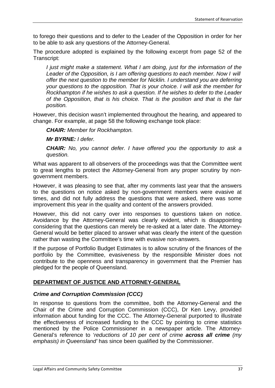to forego their questions and to defer to the Leader of the Opposition in order for her to be able to ask any questions of the Attorney-General.

The procedure adopted is explained by the following excerpt from page 52 of the Transcript:

*I* just might make a statement. What I am doing, just for the information of the *Leader of the Opposition, is I am offering questions to each member. Now I will offer the next question to the member for Nicklin. I understand you are deferring your questions to the opposition. That is your choice. I will ask the member for Rockhampton if he wishes to ask a question. If he wishes to defer to the Leader of the Opposition, that is his choice. That is the position and that is the fair position.*

However, this decision wasn't implemented throughout the hearing, and appeared to change. For example, at page 58 the following exchange took place:

*CHAIR: Member for Rockhampton.* 

*Mr BYRNE: I defer.* 

*CHAIR: No, you cannot defer. I have offered you the opportunity to ask a question.*

What was apparent to all observers of the proceedings was that the Committee went to great lengths to protect the Attorney-General from any proper scrutiny by nongovernment members.

However, it was pleasing to see that, after my comments last year that the answers to the questions on notice asked by non-government members were evasive at times, and did not fully address the questions that were asked, there was some improvement this year in the quality and content of the answers provided.

However, this did not carry over into responses to questions taken on notice. Avoidance by the Attorney-General was clearly evident, which is disappointing considering that the questions can merely be re-asked at a later date. The Attorney-General would be better placed to answer what was clearly the intent of the question rather than wasting the Committee's time with evasive non-answers.

If the purpose of Portfolio Budget Estimates is to allow scrutiny of the finances of the portfolio by the Committee, evasiveness by the responsible Minister does not contribute to the openness and transparency in government that the Premier has pledged for the people of Queensland.

## **DEPARTMENT OF JUSTICE AND ATTORNEY-GENERAL**

## *Crime and Corruption Commission (CCC)*

In response to questions from the committee, both the Attorney-General and the Chair of the Crime and Corruption Commission (CCC), Dr Ken Levy, provided information about funding for the CCC. The Attorney-General purported to illustrate the effectiveness of increased funding to the CCC by pointing to crime statistics mentioned by the Police Commissioner in a newspaper article. The Attorney-General's reference to '*reductions of 10 per cent of crime across all crime (my emphasis) in Queensland'* has since been qualified by the Commissioner.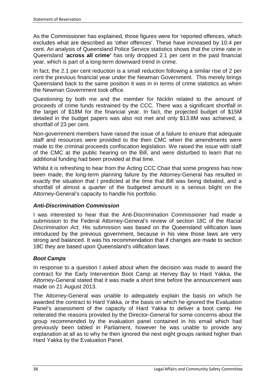As the Commissioner has explained, those figures were for 'reported offences, which excludes what are described as 'other offences'. These have increased by 10.4 per cent. An analysis of Queensland Police Service statistics shows that the crime rate in Queensland '**across all crime'** has only dropped 2.1 per cent in the past financial year, which is part of a long-term downward trend in crime.

In fact, the 2.1 per cent reduction is a small reduction following a similar rise of 2 per cent the previous financial year under the Newman Government. This merely brings Queensland back to the same position it was in in terms of crime statistics as when the Newman Government took office.

Questioning by both me and the member for Nicklin related to the amount of proceeds of crime funds restrained by the CCC. There was a significant shortfall in the target of \$18M for the financial year. In fact, the projected budget of \$15M detailed in the budget papers was also not met and only \$13.8M was achieved, a shortfall of 23 per cent.

Non-government members have raised the issue of a failure to ensure that adequate staff and resources were provided to the then CMC when the amendments were made to the criminal proceeds confiscation legislation. We raised the issue with staff of the CMC at the public hearing on the Bill, and were disturbed to learn that no additional funding had been provided at that time.

Whilst it is refreshing to hear from the Acting CCC Chair that some progress has now been made, the long-term planning failure by the Attorney-General has resulted in exactly the situation that I predicted at the time that Bill was being debated, and a shortfall of almost a quarter of the budgeted amount is a serious blight on the Attorney-General's capacity to handle his portfolio.

## *Anti-Discrimination Commission*

I was interested to hear that the Anti-Discrimination Commissioner had made a submission to the Federal Attorney-General's review of section 18C of the *Racial Discrimination Act*. His submission was based on the Queensland vilification laws introduced by the previous government, because in his view those laws are very strong and balanced. It was his recommendation that if changes are made to section 18C they are based upon Queensland's vilification laws.

## *Boot Camps*

In response to a question I asked about when the decision was made to award the contract for the Early Intervention Boot Camp at Hervey Bay to Hard Yakka, the Attorney-General stated that it was made a short time before the announcement was made on 21 August 2013.

The Attorney-General was unable to adequately explain the basis on which he awarded the contract to Hard Yakka, or the basis on which he ignored the Evaluation Panel's assessment of the capacity of Hard Yakka to deliver a boot camp. He reiterated the reasons provided by the Director-General for some concerns about the group recommended by the evaluation panel contained in his email which had previously been tabled in Parliament, however he was unable to provide any explanation at all as to why he then ignored the next eight groups ranked higher than Hard Yakka by the Evaluation Panel.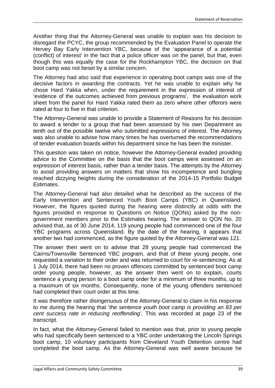Another thing that the Attorney-General was unable to explain was his decision to disregard the PCYC, the group recommended by the Evaluation Panel to operate the Hervey Bay Early Intervention YBC, because of the 'appearance of a potential (conflict) of interest' in the fact that a police officer was on the panel, but that, even though this was equally the case for the Rockhampton YBC, the decision on that boot camp was not beset by a similar concern.

The Attorney had also said that experience in operating boot camps was one of the decisive factors in awarding the contracts. Yet he was unable to explain why he chose Hard Yakka when, under the requirement in the expression of interest of 'evidence of the outcomes achieved from previous programs', the evaluation work sheet from the panel for Hard Yakka rated them as zero where other offerors were rated at four to five in that criterion.

The Attorney-General was unable to provide a Statement of Reasons for his decision to award a tender to a group that had been assessed by his own Department as tenth out of the possible twelve who submitted expressions of interest. The Attorney was also unable to advise how many times he has overturned the recommendations of tender evaluation boards within his department since he has been the minister.

This question was taken on notice, however the Attorney-General evaded providing advice to the Committee on the basis that the boot camps were assessed on an expression of interest basis, rather than a tender basis. The attempts by the Attorney to avoid providing answers on matters that show his incompetence and bungling reached dizzying heights during the consideration of the 2014-15 Portfolio Budget Estimates.

The Attorney-General had also detailed what he described as the success of the Early Intervention and Sentenced Youth Boot Camps (YBC) in Queensland. However, the figures quoted during the hearing were distinctly at odds with the figures provided in response to Questions on Notice (QONs) asked by the nongovernment members prior to the Estimates hearing. The answer to QON No. 20 advised that, as of 30 June 2014, 119 young people had commenced one of the four YBC programs across Queensland. By the date of the hearing, it appears that another two had commenced, as the figure quoted by the Attorney-General was 121.

The answer then went on to advise that 28 young people had commenced the Cairns/Townsville Sentenced YBC program, and that of these young people, one requested a variation to their order and was returned to court for re-sentencing. As at 1 July 2014, there had been no proven offences committed by sentenced boot camp order young people, however, as the answer then went on to explain, courts sentence a young person to a boot camp order for a minimum of three months, up to a maximum of six months. Consequently, none of the young offenders sentenced had completed their court order at this time.

It was therefore rather disingenuous of the Attorney-General to claim in his response to me during the hearing that '*the sentence youth boot camp is providing an 83 per cent success rate in reducing reoffending'*. This was recorded at page 23 of the transcript.

In fact, what the Attorney-General failed to mention was that, prior to young people who had specifically been sentenced to a YBC order undertaking the Lincoln Springs boot camp, 10 voluntary participants from Cleveland Youth Detention centre had completed the boot camp. As the Attorney-General was well aware because he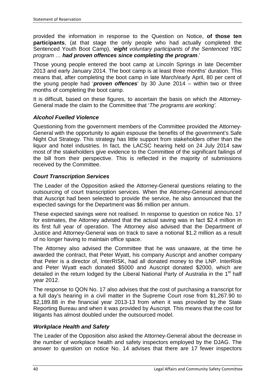provided the information in response to the Question on Notice, **of those ten participants**, (at that stage the only people who had actually completed the Sentenced Youth Boot Camp), '*eight voluntary participants of the Sentenced YBC program … had proven offences since completing the program*.'

Those young people entered the boot camp at Lincoln Springs in late December 2013 and early January 2014. The boot camp is at least three months' duration. This means that, after completing the boot camp in late March/early April, 80 per cent of the young people had '*proven offences*' by 30 June 2014 – within two or three months of completing the boot camp.

It is difficult, based on these figures, to ascertain the basis on which the Attorney-General made the claim to the Committee that '*The programs are working'.*

## *Alcohol Fuelled Violence*

Questioning from the government members of the Committee provided the Attorney-General with the opportunity to again espouse the benefits of the government's Safe Night Out Strategy. This strategy has little support from stakeholders other than the liquor and hotel industries. In fact, the LACSC hearing held on 24 July 2014 saw most of the stakeholders give evidence to the Committee of the significant failings of the bill from their perspective. This is reflected in the majority of submissions received by the Committee.

## *Court Transcription Services*

The Leader of the Opposition asked the Attorney-General questions relating to the outsourcing of court transcription services. When the Attorney-General announced that Auscript had been selected to provide the service, he also announced that the expected savings for the Department was \$6 million per annum.

These expected savings were not realised. In response to question on notice No. 17 for estimates, the Attorney advised that the actual saving was in fact \$2.4 million in its first full year of operation. The Attorney also advised that the Department of Justice and Attorney-General was on track to save a notional \$1.2 million as a result of no longer having to maintain office space.

The Attorney also advised the Committee that he was unaware, at the time he awarded the contract, that Peter Wyatt, his company Auscript and another company that Peter is a director of, InterRISK, had all donated money to the LNP. InterRisk and Peter Wyatt each donated \$5000 and Auscript donated \$2000, which are detailed in the return lodged by the Liberal National Party of Australia in the 1<sup>st</sup> half year 2012.

The response to QON No. 17 also advises that the cost of purchasing a transcript for a full day's hearing in a civil matter in the Supreme Court rose from \$1,267.90 to \$2,189.88 in the financial year 2013-13 from when it was provided by the State Reporting Bureau and when it was provided by Auscript. This means that the cost for litigants has almost doubled under the outsourced model.

## *Workplace Health and Safety*

The Leader of the Opposition also asked the Attorney-General about the decrease in the number of workplace health and safety inspectors employed by the DJAG. The answer to question on notice No. 14 advises that there are 17 fewer inspectors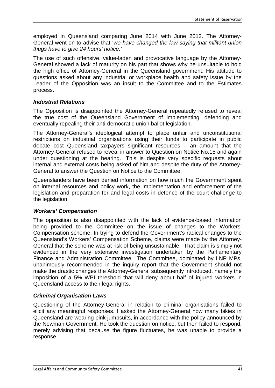employed in Queensland comparing June 2014 with June 2012. The Attorney-General went on to advise that '*we have changed the law saying that militant union thugs have to give 24 hours' notice.'*

The use of such offensive, value-laden and provocative language by the Attorney-General showed a lack of maturity on his part that shows why he unsuitable to hold the high office of Attorney-General in the Queensland government. His attitude to questions asked about any industrial or workplace health and safety issue by the Leader of the Opposition was an insult to the Committee and to the Estimates process.

## *Industrial Relations*

The Opposition is disappointed the Attorney-General repeatedly refused to reveal the true cost of the Queensland Government of implementing, defending and eventually repealing their anti-democratic union ballot legislation.

The Attorney-General's ideological attempt to place unfair and unconstitutional restrictions on industrial organisations using their funds to participate in public debate cost Queensland taxpayers significant resources – an amount that the Attorney-General refused to reveal in answer to Question on Notice No.15 and again under questioning at the hearing. This is despite very specific requests about internal and external costs being asked of him and despite the duty of the Attorney-General to answer the Question on Notice to the Committee.

Queenslanders have been denied information on how much the Government spent on internal resources and policy work, the implementation and enforcement of the legislation and preparation for and legal costs in defence of the court challenge to the legislation.

#### *Workers' Compensation*

The opposition is also disappointed with the lack of evidence-based information being provided to the Committee on the issue of changes to the Workers' Compensation scheme. In trying to defend the Government's radical changes to the Queensland's Workers' Compensation Scheme, claims were made by the Attorney-General that the scheme was at risk of being unsustainable. That claim is simply not evidenced in the very extensive investigation undertaken by the Parliamentary Finance and Administration Committee. The Committee, dominated by LNP MPs, unanimously recommended in the inquiry report that the Government should not make the drastic changes the Attorney-General subsequently introduced, namely the imposition of a 5% WPI threshold that will deny about half of injured workers in Queensland access to their legal rights.

## *Criminal Organisation Laws*

Questioning of the Attorney-General in relation to criminal organisations failed to elicit any meaningful responses. I asked the Attorney-General how many bikies in Queensland are wearing pink jumpsuits, in accordance with the policy announced by the Newman Government. He took the question on notice, but then failed to respond, merely advising that because the figure fluctuates, he was unable to provide a response.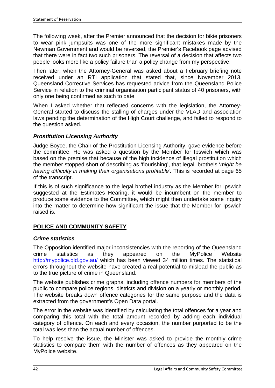The following week, after the Premier announced that the decision for bikie prisoners to wear pink jumpsuits was one of the more significant mistakes made by the Newman Government and would be reversed, the Premier's Facebook page advised that there were in fact two such prisoners. The reversal of a decision that affects two people looks more like a policy failure than a policy change from my perspective.

Then later, when the Attorney-General was asked about a February briefing note received under an RTI application that stated that, since November 2013, Queensland Corrective Services has requested advice from the Queensland Police Service in relation to the criminal organisation participant status of 40 prisoners, with only one being confirmed as such to date.

When I asked whether that reflected concerns with the legislation, the Attorney-General started to discuss the stalling of charges under the VLAD and association laws pending the determination of the High Court challenge, and failed to respond to the question asked.

## *Prostitution Licensing Authority*

Judge Boyce, the Chair of the Prostitution Licensing Authority, gave evidence before the committee. He was asked a question by the Member for Ipswich which was based on the premise that because of the high incidence of illegal prostitution which the member stopped short of describing as 'flourishing', that legal brothels '*might be having difficulty in making their organisations profitable'.* This is recorded at page 65 of the transcript.

If this is of such significance to the legal brothel industry as the Member for Ipswich suggested at the Estimates Hearing, it would be incumbent on the member to produce some evidence to the Committee, which might then undertake some inquiry into the matter to determine how significant the issue that the Member for Ipswich raised is.

## **POLICE AND COMMUNITY SAFETY**

#### *Crime statistics*

The Opposition identified major inconsistencies with the reporting of the Queensland crime statistics as they appeared on the MyPolice Website <http://mypolice.qld.gov.au/> which has been viewed 34 million times. The statistical errors throughout the website have created a real potential to mislead the public as to the true picture of crime in Queensland.

The website publishes crime graphs, including offence numbers for members of the public to compare police regions, districts and division on a yearly or monthly period. The website breaks down offence categories for the same purpose and the data is extracted from the government's Open Data portal.

The error in the website was identified by calculating the total offences for a year and comparing this total with the total amount recorded by adding each individual category of offence. On each and every occasion, the number purported to be the total was less than the actual number of offences.

To help resolve the issue, the Minister was asked to provide the monthly crime statistics to compare them with the number of offences as they appeared on the MyPolice website.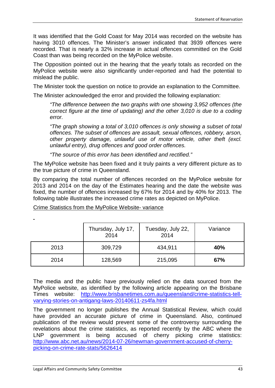It was identified that the Gold Coast for May 2014 was recorded on the website has having 3010 offences. The Minister's answer indicated that 3939 offences were recorded. That is nearly a 32% increase in actual offences committed on the Gold Coast than was being recorded on the MyPolice website.

The Opposition pointed out in the hearing that the yearly totals as recorded on the MyPolice website were also significantly under-reported and had the potential to mislead the public.

The Minister took the question on notice to provide an explanation to the Committee.

The Minister acknowledged the error and provided the following explanation:

*"The difference between the two graphs with one showing 3,952 offences (the correct figure at the time of updating) and the other 3,010 is due to a coding error.*

*"The graph showing a total of 3,010 offences is only showing a subset of total offences. The subset of offences are assault, sexual offences, robbery, arson, other property damage, unlawful use of motor vehicle, other theft (excl. unlawful entry), drug offences and good order offences.*

*"The source of this error has been identified and rectified."*

The MyPolice website has been fixed and it truly paints a very different picture as to the true picture of crime in Queensland.

By comparing the total number of offences recorded on the MyPolice website for 2013 and 2014 on the day of the Estimates hearing and the date the website was fixed, the number of offences increased by 67% for 2014 and by 40% for 2013. The following table illustrates the increased crime rates as depicted on MyPolice.

Crime Statistics from the MyPolice Website- variance

|      | Thursday, July 17,<br>2014 | Tuesday, July 22,<br>2014 | Variance |
|------|----------------------------|---------------------------|----------|
| 2013 | 309,729                    | 434,911                   | 40%      |
| 2014 | 128,569                    | 215,095                   | 67%      |

The media and the public have previously relied on the data sourced from the MyPolice website, as identified by the following article appearing on the Brisbane Times website: [http://www.brisbanetimes.com.au/queensland/crime-statistics-tell](http://www.brisbanetimes.com.au/queensland/crime-statistics-tell-varying-stories-on-antigang-laws-20140611-zs4fa.html)[varying-stories-on-antigang-laws-20140611-zs4fa.html](http://www.brisbanetimes.com.au/queensland/crime-statistics-tell-varying-stories-on-antigang-laws-20140611-zs4fa.html)

The government no longer publishes the Annual Statistical Review, which could have provided an accurate picture of crime in Queensland. Also, continued publication of the review would prevent some of the controversy surrounding the revelations about the crime statistics, as reported recently by the ABC where the LNP government is being accused of cherry picking crime statistics: [http://www.abc.net.au/news/2014-07-26/newman-government-accused-of-cherry](http://www.abc.net.au/news/2014-07-26/newman-government-accused-of-cherry-picking-on-crime-rate-stats/5626414)[picking-on-crime-rate-stats/5626414](http://www.abc.net.au/news/2014-07-26/newman-government-accused-of-cherry-picking-on-crime-rate-stats/5626414)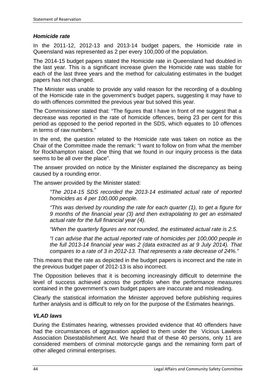#### *Homicide rate*

In the 2011-12, 2012-13 and 2013-14 budget papers, the Homicide rate in Queensland was represented as 2 per every 100,000 of the population.

The 2014-15 budget papers stated the Homicide rate in Queensland had doubled in the last year. This is a significant increase given the Homicide rate was stable for each of the last three years and the method for calculating estimates in the budget papers has not changed.

The Minister was unable to provide any valid reason for the recording of a doubling of the Homicide rate in the government's budget papers, suggesting it may have to do with offences committed the previous year but solved this year.

The Commissioner stated that: "The figures that I have in front of me suggest that a decrease was reported in the rate of homicide offences, being 23 per cent for this period as opposed to the period reported in the SDS, which equates to 10 offences in terms of raw numbers."

In the end, the question related to the Homicide rate was taken on notice as the Chair of the Committee made the remark: "I want to follow on from what the member for Rockhampton raised. One thing that we found in our inquiry process is the data seems to be all over the place".

The answer provided on notice by the Minister explained the discrepancy as being caused by a rounding error.

The answer provided by the Minister stated:

*"The 2014-15 SDS recorded the 2013-14 estimated actual rate of reported homicides as 4 per 100,000 people.*

*"This was derived by rounding the rate for each quarter (1), to get a figure for 9 months of the financial year (3) and then extrapolating to get an estimated actual rate for the full financial year (4).*

*"When the quarterly figures are not rounded, the estimated actual rate is 2.5.*

*"I can advise that the actual reported rate of homicides per 100,000 people in the full 2013-14 financial year was 2 (data extracted as at 9 July 2014). That compares to a rate of 3 in 2012-13. That represents a rate decrease of 24%."*

This means that the rate as depicted in the budget papers is incorrect and the rate in the previous budget paper of 2012-13 is also incorrect.

The Opposition believes that it is becoming increasingly difficult to determine the level of success achieved across the portfolio when the performance measures contained in the government's own budget papers are inaccurate and misleading.

Clearly the statistical information the Minister approved before publishing requires further analysis and is difficult to rely on for the purpose of the Estimates hearings.

#### *VLAD laws*

During the Estimates hearing, witnesses provided evidence that 40 offenders have had the circumstances of aggravation applied to them under the Vicious Lawless Association Disestablishment Act. We heard that of these 40 persons, only 11 are considered members of criminal motorcycle gangs and the remaining form part of other alleged criminal enterprises.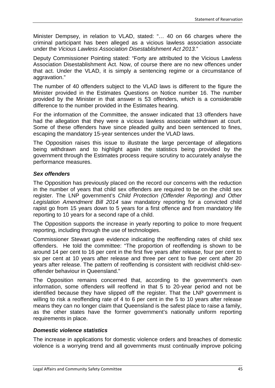Minister Dempsey, in relation to VLAD, stated: "… 40 on 66 charges where the criminal participant has been alleged as a vicious lawless association associate under the *Vicious Lawless Association Disestablishment Act 2013.*"

Deputy Commissioner Pointing stated: "Forty are attributed to the Vicious Lawless Association Disestablishment Act. Now, of course there are no new offences under that act. Under the VLAD, it is simply a sentencing regime or a circumstance of aggravation."

The number of 40 offenders subject to the VLAD laws is different to the figure the Minister provided in the Estimates Questions on Notice number 16. The number provided by the Minister in that answer is 53 offenders, which is a considerable difference to the number provided in the Estimates hearing.

For the information of the Committee, the answer indicated that 13 offenders have had the allegation that they were a vicious lawless associate withdrawn at court. Some of these offenders have since pleaded guilty and been sentenced to fines, escaping the mandatory 15-year sentences under the VLAD laws.

The Opposition raises this issue to illustrate the large percentage of allegations being withdrawn and to highlight again the statistics being provided by the government through the Estimates process require scrutiny to accurately analyse the performance measures.

## *Sex offenders*

The Opposition has previously placed on the record our concerns with the reduction in the number of years that child sex offenders are required to be on the child sex register. The LNP government's *Child Protection (Offender Reporting) and Other Legislation Amendment Bill 2014* saw mandatory reporting for a convicted child rapist go from 15 years down to 5 years for a first offence and from mandatory life reporting to 10 years for a second rape of a child.

The Opposition supports the increase in yearly reporting to police to more frequent reporting, including through the use of technologies.

Commissioner Stewart gave evidence indicating the reoffending rates of child sex offenders. He told the committee: "The proportion of reoffending is shown to be around 14 per cent to 16 per cent in the first five years after release, four per cent to six per cent at 10 years after release and three per cent to five per cent after 20 years after release. The pattern of reoffending is consistent with recidivist child-sexoffender behaviour in Queensland."

The Opposition remains concerned that, according to the government's own information, some offenders will reoffend in that 5 to 20-year period and not be identified because they have slipped off the register. That the LNP government is willing to risk a reoffending rate of 4 to 6 per cent in the 5 to 10 years after release means they can no longer claim that Queensland is the safest place to raise a family, as the other states have the former government's nationally uniform reporting requirements in place.

#### *Domestic violence statistics*

The increase in applications for domestic violence orders and breaches of domestic violence is a worrying trend and all governments must continually improve policing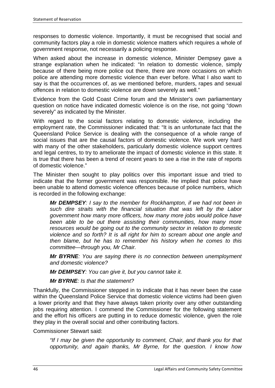responses to domestic violence. Importantly, it must be recognised that social and community factors play a role in domestic violence matters which requires a whole of government response, not necessarily a policing response.

When asked about the increase in domestic violence, Minister Dempsey gave a strange explanation when he indicated: "In relation to domestic violence, simply because of there being more police out there, there are more occasions on which police are attending more domestic violence than ever before. What I also want to say is that the occurrences of, as we mentioned before, murders, rapes and sexual offences in relation to domestic violence are down severely as well."

Evidence from the Gold Coast Crime forum and the Minister's own parliamentary question on notice have indicated domestic violence is on the rise, not going "down severely" as indicated by the Minister.

With regard to the social factors relating to domestic violence, including the employment rate, the Commissioner indicated that: "It is an unfortunate fact that the Queensland Police Service is dealing with the consequence of a whole range of social issues that are the causal factors of domestic violence. We work very hard with many of the other stakeholders, particularly domestic violence support centres and legal centres, to try to ameliorate the impact of domestic violence in this state. It is true that there has been a trend of recent years to see a rise in the rate of reports of domestic violence."

The Minister then sought to play politics over this important issue and tried to indicate that the former government was responsible. He implied that police have been unable to attend domestic violence offences because of police numbers, which is recorded in the following exchange:

*Mr DEMPSEY: I say to the member for Rockhampton, if we had not been in such dire straits with the financial situation that was left by the Labor government how many more officers, how many more jobs would police have been able to be out there assisting their communities, how many more resources would be going out to the community sector in relation to domestic violence and so forth? It is all right for him to scream about one angle and then blame, but he has to remember his history when he comes to this committee—through you, Mr Chair.*

*Mr BYRNE: You are saying there is no connection between unemployment and domestic violence?*

*Mr DEMPSEY: You can give it, but you cannot take it.*

*Mr BYRNE: Is that the statement?*

Thankfully, the Commissioner stepped in to indicate that it has never been the case within the Queensland Police Service that domestic violence victims had been given a lower priority and that they have always taken priority over any other outstanding jobs requiring attention. I commend the Commissioner for the following statement and the effort his officers are putting in to reduce domestic violence, given the role they play in the overall social and other contributing factors.

Commissioner Stewart said:

*"If I may be given the opportunity to comment, Chair, and thank you for that opportunity, and again thanks, Mr Byrne, for the question. I know how*